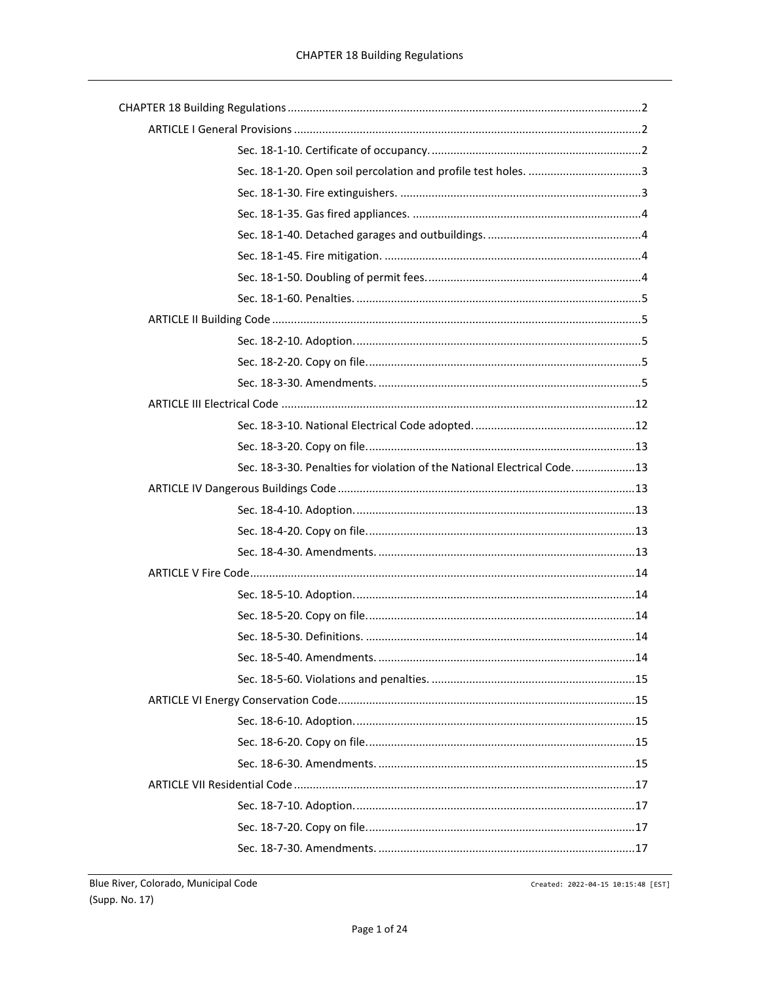| Sec. 18-3-30. Penalties for violation of the National Electrical Code. 13 |  |
|---------------------------------------------------------------------------|--|
|                                                                           |  |
|                                                                           |  |
|                                                                           |  |
|                                                                           |  |
|                                                                           |  |
|                                                                           |  |
|                                                                           |  |
|                                                                           |  |
|                                                                           |  |
|                                                                           |  |
|                                                                           |  |
|                                                                           |  |
|                                                                           |  |
|                                                                           |  |
|                                                                           |  |
|                                                                           |  |
|                                                                           |  |
|                                                                           |  |

Created: 2022-04-15 10:15:48 [EST]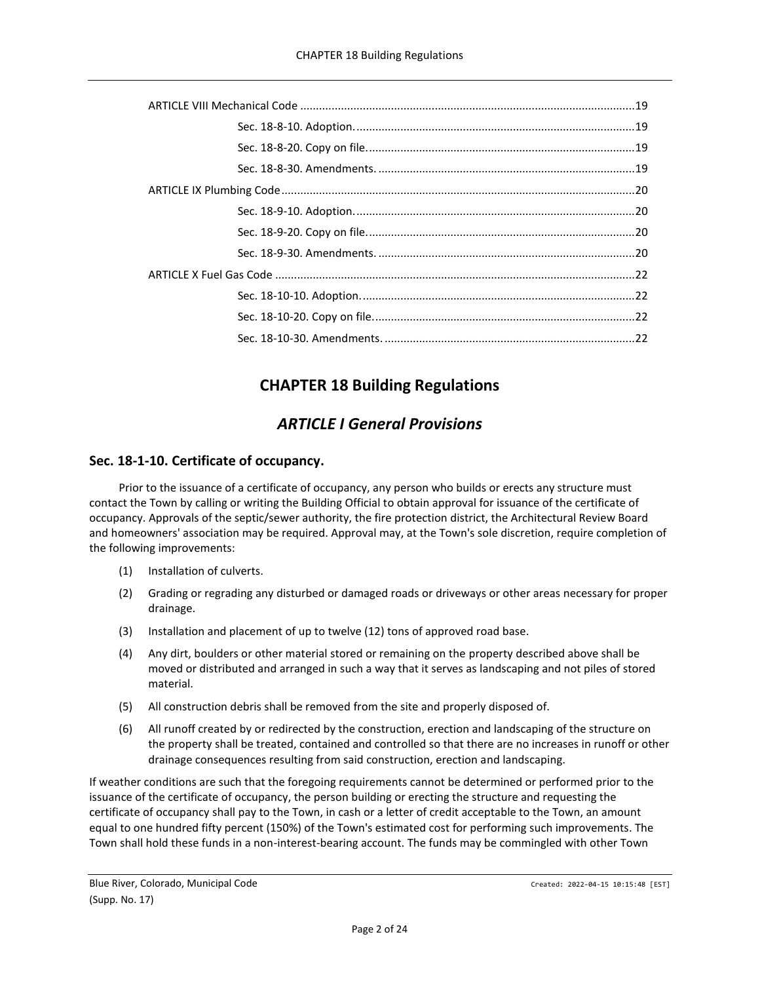# **CHAPTER 18 Building Regulations**

# *ARTICLE I General Provisions*

## <span id="page-1-2"></span><span id="page-1-1"></span><span id="page-1-0"></span>**Sec. 18-1-10. Certificate of occupancy.**

Prior to the issuance of a certificate of occupancy, any person who builds or erects any structure must contact the Town by calling or writing the Building Official to obtain approval for issuance of the certificate of occupancy. Approvals of the septic/sewer authority, the fire protection district, the Architectural Review Board and homeowners' association may be required. Approval may, at the Town's sole discretion, require completion of the following improvements:

- (1) Installation of culverts.
- (2) Grading or regrading any disturbed or damaged roads or driveways or other areas necessary for proper drainage.
- (3) Installation and placement of up to twelve (12) tons of approved road base.
- (4) Any dirt, boulders or other material stored or remaining on the property described above shall be moved or distributed and arranged in such a way that it serves as landscaping and not piles of stored material.
- (5) All construction debris shall be removed from the site and properly disposed of.
- (6) All runoff created by or redirected by the construction, erection and landscaping of the structure on the property shall be treated, contained and controlled so that there are no increases in runoff or other drainage consequences resulting from said construction, erection and landscaping.

If weather conditions are such that the foregoing requirements cannot be determined or performed prior to the issuance of the certificate of occupancy, the person building or erecting the structure and requesting the certificate of occupancy shall pay to the Town, in cash or a letter of credit acceptable to the Town, an amount equal to one hundred fifty percent (150%) of the Town's estimated cost for performing such improvements. The Town shall hold these funds in a non-interest-bearing account. The funds may be commingled with other Town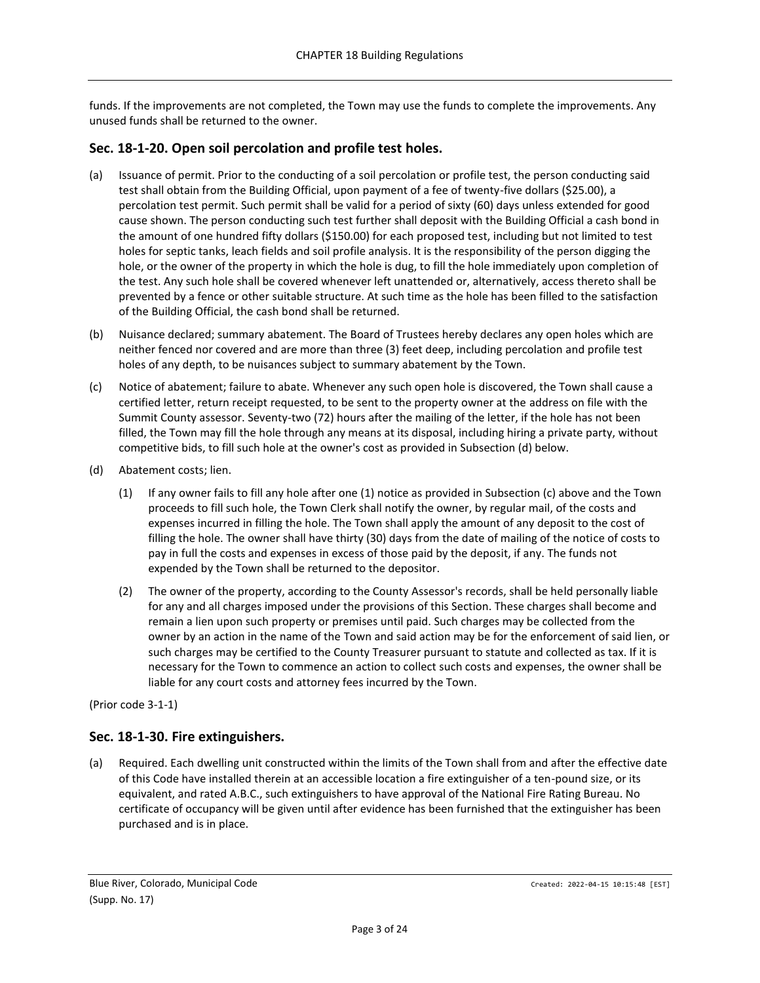funds. If the improvements are not completed, the Town may use the funds to complete the improvements. Any unused funds shall be returned to the owner.

## <span id="page-2-0"></span>**Sec. 18-1-20. Open soil percolation and profile test holes.**

- (a) Issuance of permit. Prior to the conducting of a soil percolation or profile test, the person conducting said test shall obtain from the Building Official, upon payment of a fee of twenty-five dollars (\$25.00), a percolation test permit. Such permit shall be valid for a period of sixty (60) days unless extended for good cause shown. The person conducting such test further shall deposit with the Building Official a cash bond in the amount of one hundred fifty dollars (\$150.00) for each proposed test, including but not limited to test holes for septic tanks, leach fields and soil profile analysis. It is the responsibility of the person digging the hole, or the owner of the property in which the hole is dug, to fill the hole immediately upon completion of the test. Any such hole shall be covered whenever left unattended or, alternatively, access thereto shall be prevented by a fence or other suitable structure. At such time as the hole has been filled to the satisfaction of the Building Official, the cash bond shall be returned.
- (b) Nuisance declared; summary abatement. The Board of Trustees hereby declares any open holes which are neither fenced nor covered and are more than three (3) feet deep, including percolation and profile test holes of any depth, to be nuisances subject to summary abatement by the Town.
- (c) Notice of abatement; failure to abate. Whenever any such open hole is discovered, the Town shall cause a certified letter, return receipt requested, to be sent to the property owner at the address on file with the Summit County assessor. Seventy-two (72) hours after the mailing of the letter, if the hole has not been filled, the Town may fill the hole through any means at its disposal, including hiring a private party, without competitive bids, to fill such hole at the owner's cost as provided in Subsection (d) below.
- (d) Abatement costs; lien.
	- (1) If any owner fails to fill any hole after one (1) notice as provided in Subsection (c) above and the Town proceeds to fill such hole, the Town Clerk shall notify the owner, by regular mail, of the costs and expenses incurred in filling the hole. The Town shall apply the amount of any deposit to the cost of filling the hole. The owner shall have thirty (30) days from the date of mailing of the notice of costs to pay in full the costs and expenses in excess of those paid by the deposit, if any. The funds not expended by the Town shall be returned to the depositor.
	- (2) The owner of the property, according to the County Assessor's records, shall be held personally liable for any and all charges imposed under the provisions of this Section. These charges shall become and remain a lien upon such property or premises until paid. Such charges may be collected from the owner by an action in the name of the Town and said action may be for the enforcement of said lien, or such charges may be certified to the County Treasurer pursuant to statute and collected as tax. If it is necessary for the Town to commence an action to collect such costs and expenses, the owner shall be liable for any court costs and attorney fees incurred by the Town.

### (Prior code 3-1-1)

## <span id="page-2-1"></span>**Sec. 18-1-30. Fire extinguishers.**

(a) Required. Each dwelling unit constructed within the limits of the Town shall from and after the effective date of this Code have installed therein at an accessible location a fire extinguisher of a ten-pound size, or its equivalent, and rated A.B.C., such extinguishers to have approval of the National Fire Rating Bureau. No certificate of occupancy will be given until after evidence has been furnished that the extinguisher has been purchased and is in place.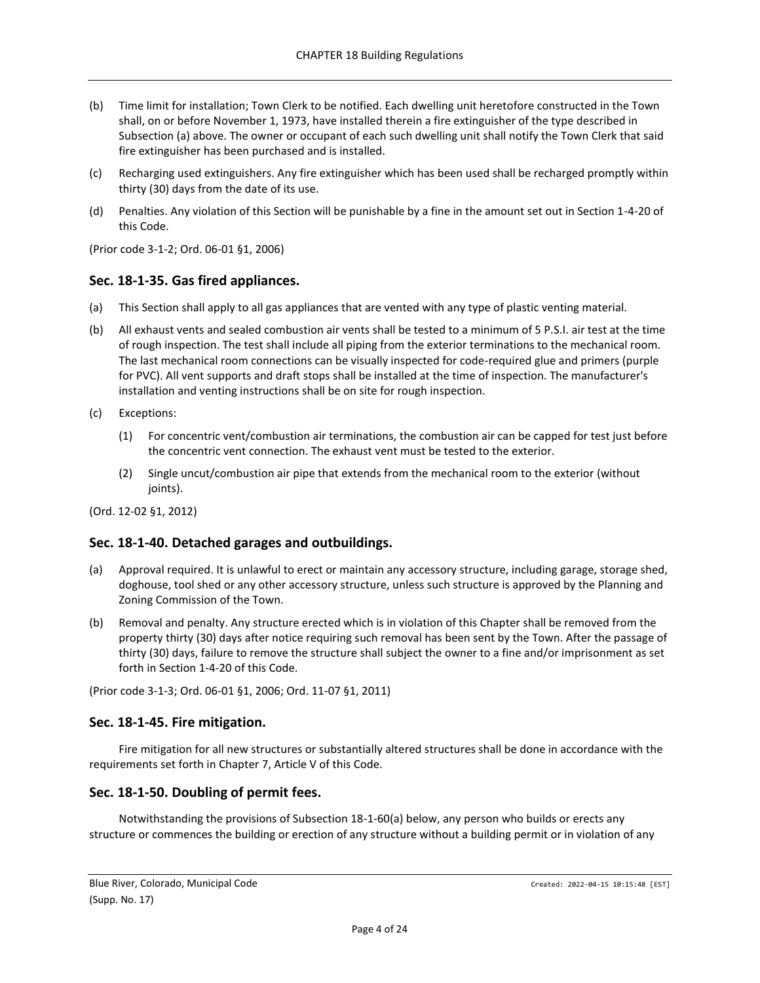- (b) Time limit for installation; Town Clerk to be notified. Each dwelling unit heretofore constructed in the Town shall, on or before November 1, 1973, have installed therein a fire extinguisher of the type described in Subsection (a) above. The owner or occupant of each such dwelling unit shall notify the Town Clerk that said fire extinguisher has been purchased and is installed.
- (c) Recharging used extinguishers. Any fire extinguisher which has been used shall be recharged promptly within thirty (30) days from the date of its use.
- (d) Penalties. Any violation of this Section will be punishable by a fine in the amount set out in Section 1-4-20 of this Code.

(Prior code 3-1-2; Ord. 06-01 §1, 2006)

## <span id="page-3-0"></span>**Sec. 18-1-35. Gas fired appliances.**

- (a) This Section shall apply to all gas appliances that are vented with any type of plastic venting material.
- (b) All exhaust vents and sealed combustion air vents shall be tested to a minimum of 5 P.S.I. air test at the time of rough inspection. The test shall include all piping from the exterior terminations to the mechanical room. The last mechanical room connections can be visually inspected for code-required glue and primers (purple for PVC). All vent supports and draft stops shall be installed at the time of inspection. The manufacturer's installation and venting instructions shall be on site for rough inspection.
- (c) Exceptions:
	- (1) For concentric vent/combustion air terminations, the combustion air can be capped for test just before the concentric vent connection. The exhaust vent must be tested to the exterior.
	- (2) Single uncut/combustion air pipe that extends from the mechanical room to the exterior (without joints).

(Ord. 12-02 §1, 2012)

## <span id="page-3-1"></span>**Sec. 18-1-40. Detached garages and outbuildings.**

- (a) Approval required. It is unlawful to erect or maintain any accessory structure, including garage, storage shed, doghouse, tool shed or any other accessory structure, unless such structure is approved by the Planning and Zoning Commission of the Town.
- (b) Removal and penalty. Any structure erected which is in violation of this Chapter shall be removed from the property thirty (30) days after notice requiring such removal has been sent by the Town. After the passage of thirty (30) days, failure to remove the structure shall subject the owner to a fine and/or imprisonment as set forth in Section 1-4-20 of this Code.

(Prior code 3-1-3; Ord. 06-01 §1, 2006; Ord. 11-07 §1, 2011)

## <span id="page-3-2"></span>**Sec. 18-1-45. Fire mitigation.**

Fire mitigation for all new structures or substantially altered structures shall be done in accordance with the requirements set forth in Chapter 7, Article V of this Code.

## <span id="page-3-3"></span>**Sec. 18-1-50. Doubling of permit fees.**

Notwithstanding the provisions of Subsection 18-1-60(a) below, any person who builds or erects any structure or commences the building or erection of any structure without a building permit or in violation of any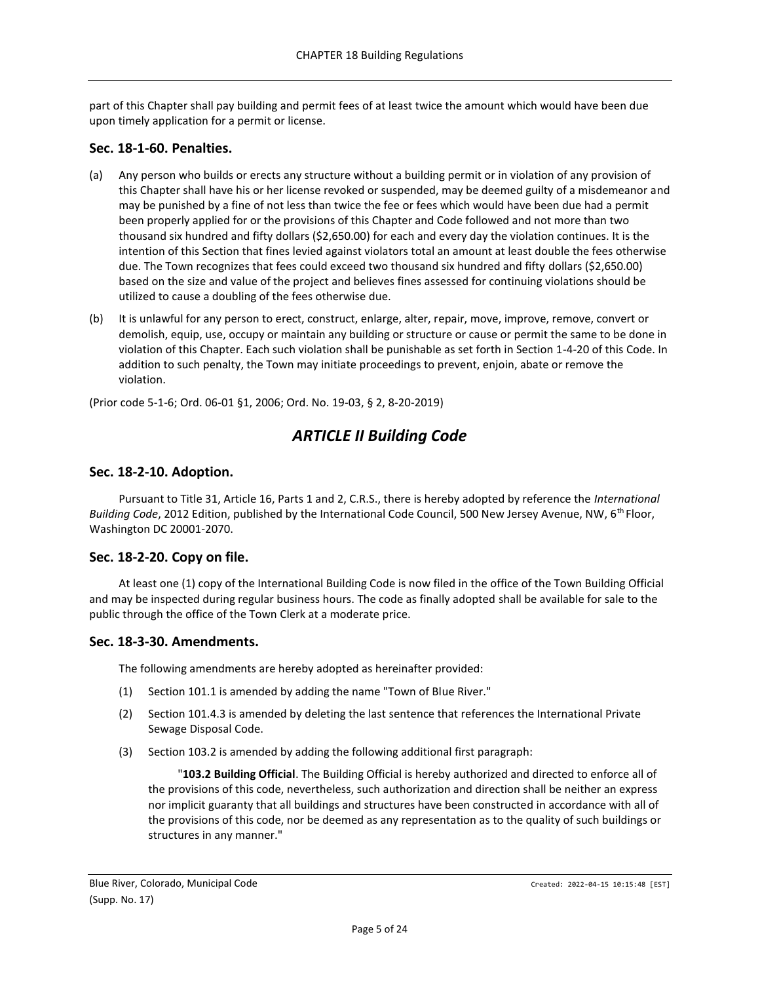part of this Chapter shall pay building and permit fees of at least twice the amount which would have been due upon timely application for a permit or license.

## <span id="page-4-0"></span>**Sec. 18-1-60. Penalties.**

- (a) Any person who builds or erects any structure without a building permit or in violation of any provision of this Chapter shall have his or her license revoked or suspended, may be deemed guilty of a misdemeanor and may be punished by a fine of not less than twice the fee or fees which would have been due had a permit been properly applied for or the provisions of this Chapter and Code followed and not more than two thousand six hundred and fifty dollars (\$2,650.00) for each and every day the violation continues. It is the intention of this Section that fines levied against violators total an amount at least double the fees otherwise due. The Town recognizes that fees could exceed two thousand six hundred and fifty dollars (\$2,650.00) based on the size and value of the project and believes fines assessed for continuing violations should be utilized to cause a doubling of the fees otherwise due.
- (b) It is unlawful for any person to erect, construct, enlarge, alter, repair, move, improve, remove, convert or demolish, equip, use, occupy or maintain any building or structure or cause or permit the same to be done in violation of this Chapter. Each such violation shall be punishable as set forth in Section 1-4-20 of this Code. In addition to such penalty, the Town may initiate proceedings to prevent, enjoin, abate or remove the violation.

<span id="page-4-1"></span>(Prior code 5-1-6; Ord. 06-01 §1, 2006; Ord. No. 19-03, § 2, 8-20-2019)

# *ARTICLE II Building Code*

## <span id="page-4-2"></span>**Sec. 18-2-10. Adoption.**

Pursuant to Title 31, Article 16, Parts 1 and 2, C.R.S., there is hereby adopted by reference the *International Building Code*, 2012 Edition, published by the International Code Council, 500 New Jersey Avenue, NW, 6<sup>th</sup> Floor, Washington DC 20001-2070.

## <span id="page-4-3"></span>**Sec. 18-2-20. Copy on file.**

At least one (1) copy of the International Building Code is now filed in the office of the Town Building Official and may be inspected during regular business hours. The code as finally adopted shall be available for sale to the public through the office of the Town Clerk at a moderate price.

## <span id="page-4-4"></span>**Sec. 18-3-30. Amendments.**

The following amendments are hereby adopted as hereinafter provided:

- (1) Section 101.1 is amended by adding the name "Town of Blue River."
- (2) Section 101.4.3 is amended by deleting the last sentence that references the International Private Sewage Disposal Code.
- (3) Section 103.2 is amended by adding the following additional first paragraph:

"**103.2 Building Official**. The Building Official is hereby authorized and directed to enforce all of the provisions of this code, nevertheless, such authorization and direction shall be neither an express nor implicit guaranty that all buildings and structures have been constructed in accordance with all of the provisions of this code, nor be deemed as any representation as to the quality of such buildings or structures in any manner."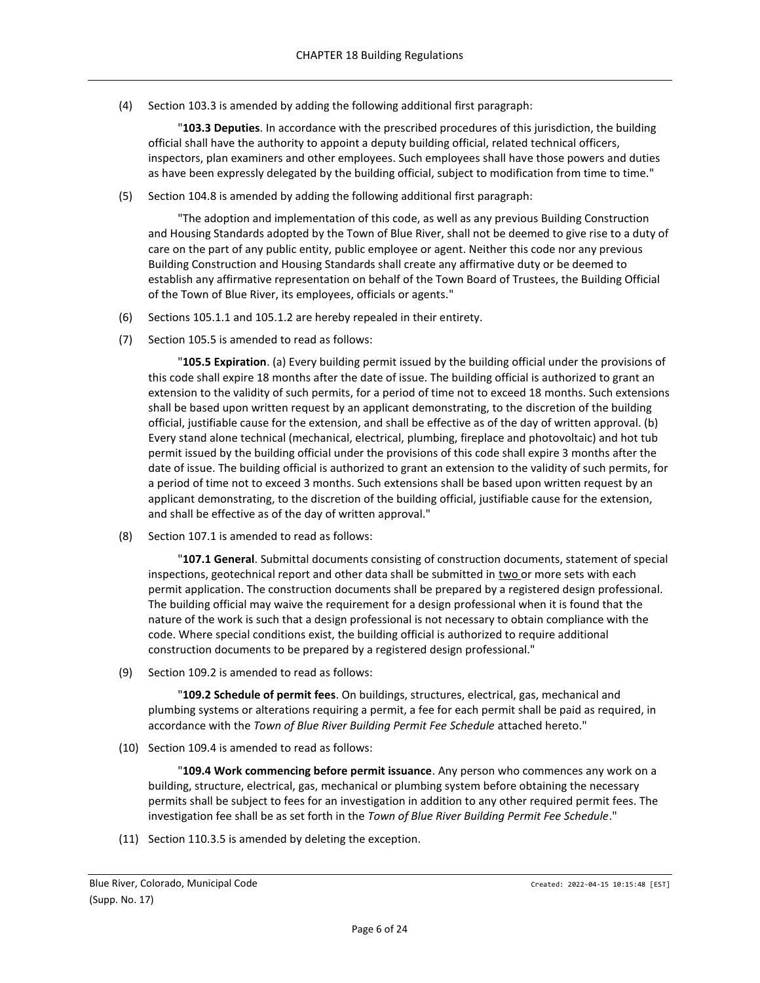(4) Section 103.3 is amended by adding the following additional first paragraph:

"**103.3 Deputies**. In accordance with the prescribed procedures of this jurisdiction, the building official shall have the authority to appoint a deputy building official, related technical officers, inspectors, plan examiners and other employees. Such employees shall have those powers and duties as have been expressly delegated by the building official, subject to modification from time to time."

(5) Section 104.8 is amended by adding the following additional first paragraph:

"The adoption and implementation of this code, as well as any previous Building Construction and Housing Standards adopted by the Town of Blue River, shall not be deemed to give rise to a duty of care on the part of any public entity, public employee or agent. Neither this code nor any previous Building Construction and Housing Standards shall create any affirmative duty or be deemed to establish any affirmative representation on behalf of the Town Board of Trustees, the Building Official of the Town of Blue River, its employees, officials or agents."

- (6) Sections 105.1.1 and 105.1.2 are hereby repealed in their entirety.
- (7) Section 105.5 is amended to read as follows:

"**105.5 Expiration**. (a) Every building permit issued by the building official under the provisions of this code shall expire 18 months after the date of issue. The building official is authorized to grant an extension to the validity of such permits, for a period of time not to exceed 18 months. Such extensions shall be based upon written request by an applicant demonstrating, to the discretion of the building official, justifiable cause for the extension, and shall be effective as of the day of written approval. (b) Every stand alone technical (mechanical, electrical, plumbing, fireplace and photovoltaic) and hot tub permit issued by the building official under the provisions of this code shall expire 3 months after the date of issue. The building official is authorized to grant an extension to the validity of such permits, for a period of time not to exceed 3 months. Such extensions shall be based upon written request by an applicant demonstrating, to the discretion of the building official, justifiable cause for the extension, and shall be effective as of the day of written approval."

(8) Section 107.1 is amended to read as follows:

"**107.1 General**. Submittal documents consisting of construction documents, statement of special inspections, geotechnical report and other data shall be submitted in two or more sets with each permit application. The construction documents shall be prepared by a registered design professional. The building official may waive the requirement for a design professional when it is found that the nature of the work is such that a design professional is not necessary to obtain compliance with the code. Where special conditions exist, the building official is authorized to require additional construction documents to be prepared by a registered design professional."

(9) Section 109.2 is amended to read as follows:

"**109.2 Schedule of permit fees**. On buildings, structures, electrical, gas, mechanical and plumbing systems or alterations requiring a permit, a fee for each permit shall be paid as required, in accordance with the *Town of Blue River Building Permit Fee Schedule* attached hereto."

(10) Section 109.4 is amended to read as follows:

"**109.4 Work commencing before permit issuance**. Any person who commences any work on a building, structure, electrical, gas, mechanical or plumbing system before obtaining the necessary permits shall be subject to fees for an investigation in addition to any other required permit fees. The investigation fee shall be as set forth in the *Town of Blue River Building Permit Fee Schedule*."

(11) Section 110.3.5 is amended by deleting the exception.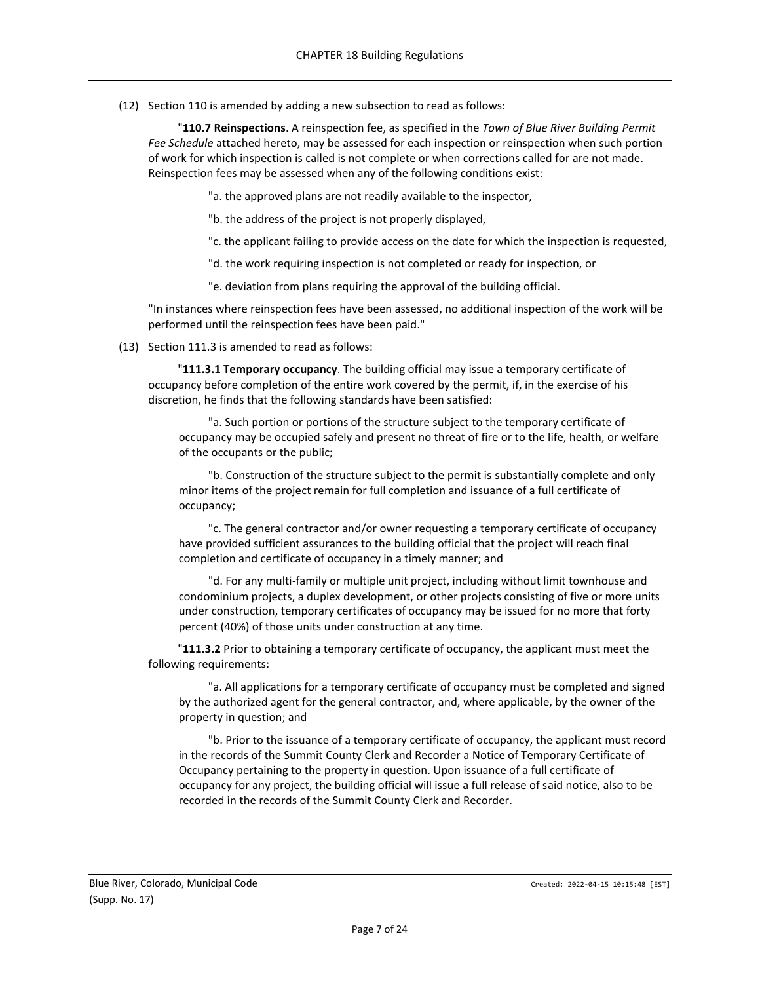(12) Section 110 is amended by adding a new subsection to read as follows:

"**110.7 Reinspections**. A reinspection fee, as specified in the *Town of Blue River Building Permit Fee Schedule* attached hereto, may be assessed for each inspection or reinspection when such portion of work for which inspection is called is not complete or when corrections called for are not made. Reinspection fees may be assessed when any of the following conditions exist:

"a. the approved plans are not readily available to the inspector,

"b. the address of the project is not properly displayed,

"c. the applicant failing to provide access on the date for which the inspection is requested,

"d. the work requiring inspection is not completed or ready for inspection, or

"e. deviation from plans requiring the approval of the building official.

"In instances where reinspection fees have been assessed, no additional inspection of the work will be performed until the reinspection fees have been paid."

(13) Section 111.3 is amended to read as follows:

"**111.3.1 Temporary occupancy**. The building official may issue a temporary certificate of occupancy before completion of the entire work covered by the permit, if, in the exercise of his discretion, he finds that the following standards have been satisfied:

"a. Such portion or portions of the structure subject to the temporary certificate of occupancy may be occupied safely and present no threat of fire or to the life, health, or welfare of the occupants or the public;

"b. Construction of the structure subject to the permit is substantially complete and only minor items of the project remain for full completion and issuance of a full certificate of occupancy;

"c. The general contractor and/or owner requesting a temporary certificate of occupancy have provided sufficient assurances to the building official that the project will reach final completion and certificate of occupancy in a timely manner; and

"d. For any multi-family or multiple unit project, including without limit townhouse and condominium projects, a duplex development, or other projects consisting of five or more units under construction, temporary certificates of occupancy may be issued for no more that forty percent (40%) of those units under construction at any time.

"**111.3.2** Prior to obtaining a temporary certificate of occupancy, the applicant must meet the following requirements:

"a. All applications for a temporary certificate of occupancy must be completed and signed by the authorized agent for the general contractor, and, where applicable, by the owner of the property in question; and

"b. Prior to the issuance of a temporary certificate of occupancy, the applicant must record in the records of the Summit County Clerk and Recorder a Notice of Temporary Certificate of Occupancy pertaining to the property in question. Upon issuance of a full certificate of occupancy for any project, the building official will issue a full release of said notice, also to be recorded in the records of the Summit County Clerk and Recorder.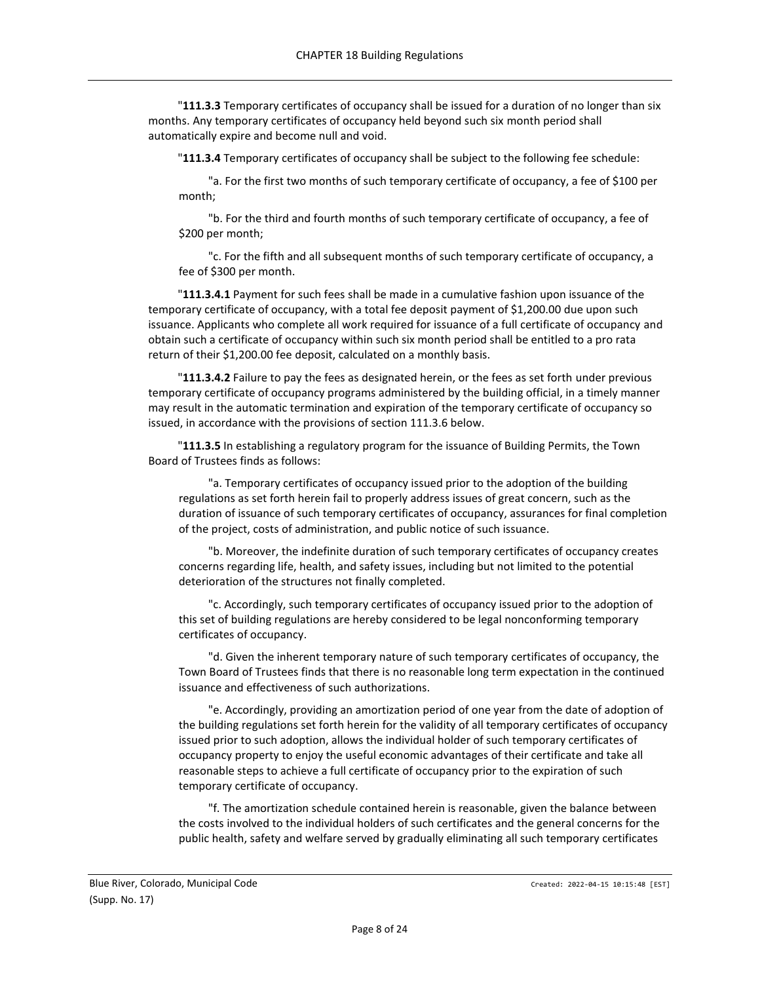"**111.3.3** Temporary certificates of occupancy shall be issued for a duration of no longer than six months. Any temporary certificates of occupancy held beyond such six month period shall automatically expire and become null and void.

"**111.3.4** Temporary certificates of occupancy shall be subject to the following fee schedule:

"a. For the first two months of such temporary certificate of occupancy, a fee of \$100 per month;

"b. For the third and fourth months of such temporary certificate of occupancy, a fee of \$200 per month;

"c. For the fifth and all subsequent months of such temporary certificate of occupancy, a fee of \$300 per month.

"**111.3.4.1** Payment for such fees shall be made in a cumulative fashion upon issuance of the temporary certificate of occupancy, with a total fee deposit payment of \$1,200.00 due upon such issuance. Applicants who complete all work required for issuance of a full certificate of occupancy and obtain such a certificate of occupancy within such six month period shall be entitled to a pro rata return of their \$1,200.00 fee deposit, calculated on a monthly basis.

"**111.3.4.2** Failure to pay the fees as designated herein, or the fees as set forth under previous temporary certificate of occupancy programs administered by the building official, in a timely manner may result in the automatic termination and expiration of the temporary certificate of occupancy so issued, in accordance with the provisions of section 111.3.6 below.

"**111.3.5** In establishing a regulatory program for the issuance of Building Permits, the Town Board of Trustees finds as follows:

"a. Temporary certificates of occupancy issued prior to the adoption of the building regulations as set forth herein fail to properly address issues of great concern, such as the duration of issuance of such temporary certificates of occupancy, assurances for final completion of the project, costs of administration, and public notice of such issuance.

"b. Moreover, the indefinite duration of such temporary certificates of occupancy creates concerns regarding life, health, and safety issues, including but not limited to the potential deterioration of the structures not finally completed.

"c. Accordingly, such temporary certificates of occupancy issued prior to the adoption of this set of building regulations are hereby considered to be legal nonconforming temporary certificates of occupancy.

"d. Given the inherent temporary nature of such temporary certificates of occupancy, the Town Board of Trustees finds that there is no reasonable long term expectation in the continued issuance and effectiveness of such authorizations.

"e. Accordingly, providing an amortization period of one year from the date of adoption of the building regulations set forth herein for the validity of all temporary certificates of occupancy issued prior to such adoption, allows the individual holder of such temporary certificates of occupancy property to enjoy the useful economic advantages of their certificate and take all reasonable steps to achieve a full certificate of occupancy prior to the expiration of such temporary certificate of occupancy.

"f. The amortization schedule contained herein is reasonable, given the balance between the costs involved to the individual holders of such certificates and the general concerns for the public health, safety and welfare served by gradually eliminating all such temporary certificates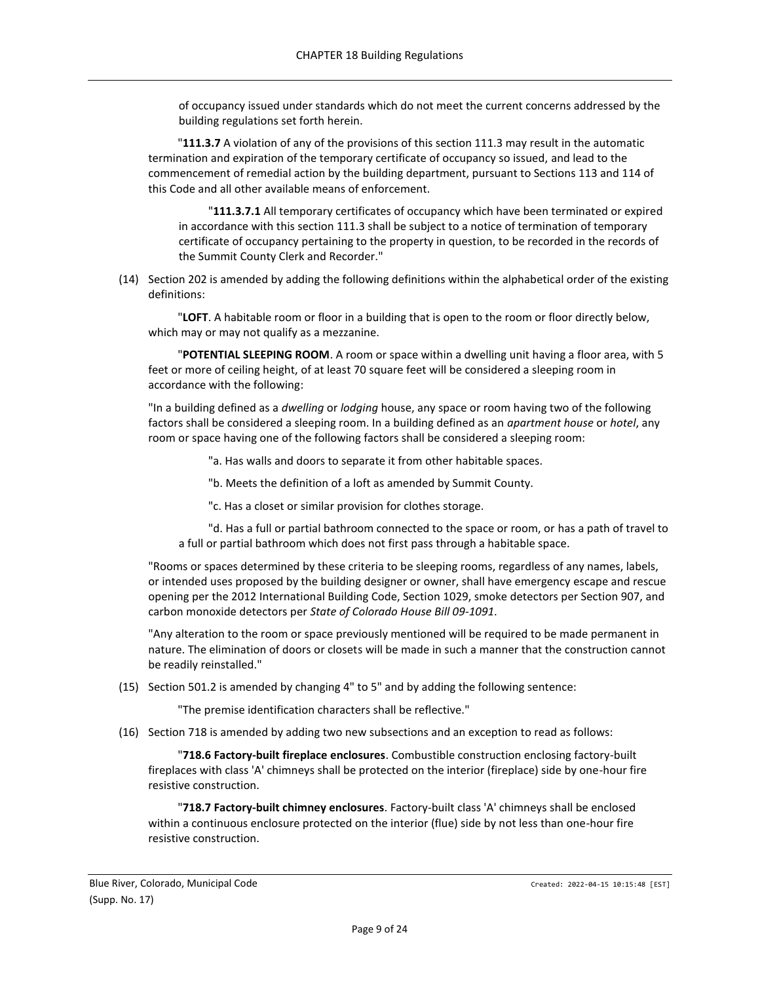of occupancy issued under standards which do not meet the current concerns addressed by the building regulations set forth herein.

"**111.3.7** A violation of any of the provisions of this section 111.3 may result in the automatic termination and expiration of the temporary certificate of occupancy so issued, and lead to the commencement of remedial action by the building department, pursuant to Sections 113 and 114 of this Code and all other available means of enforcement.

"**111.3.7.1** All temporary certificates of occupancy which have been terminated or expired in accordance with this section 111.3 shall be subject to a notice of termination of temporary certificate of occupancy pertaining to the property in question, to be recorded in the records of the Summit County Clerk and Recorder."

(14) Section 202 is amended by adding the following definitions within the alphabetical order of the existing definitions:

"**LOFT**. A habitable room or floor in a building that is open to the room or floor directly below, which may or may not qualify as a mezzanine.

"**POTENTIAL SLEEPING ROOM**. A room or space within a dwelling unit having a floor area, with 5 feet or more of ceiling height, of at least 70 square feet will be considered a sleeping room in accordance with the following:

"In a building defined as a *dwelling* or *lodging* house, any space or room having two of the following factors shall be considered a sleeping room. In a building defined as an *apartment house* or *hotel*, any room or space having one of the following factors shall be considered a sleeping room:

"a. Has walls and doors to separate it from other habitable spaces.

"b. Meets the definition of a loft as amended by Summit County.

"c. Has a closet or similar provision for clothes storage.

"d. Has a full or partial bathroom connected to the space or room, or has a path of travel to a full or partial bathroom which does not first pass through a habitable space.

"Rooms or spaces determined by these criteria to be sleeping rooms, regardless of any names, labels, or intended uses proposed by the building designer or owner, shall have emergency escape and rescue opening per the 2012 International Building Code, Section 1029, smoke detectors per Section 907, and carbon monoxide detectors per *State of Colorado House Bill 09-1091*.

"Any alteration to the room or space previously mentioned will be required to be made permanent in nature. The elimination of doors or closets will be made in such a manner that the construction cannot be readily reinstalled."

(15) Section 501.2 is amended by changing 4" to 5" and by adding the following sentence:

"The premise identification characters shall be reflective."

(16) Section 718 is amended by adding two new subsections and an exception to read as follows:

"**718.6 Factory-built fireplace enclosures**. Combustible construction enclosing factory-built fireplaces with class 'A' chimneys shall be protected on the interior (fireplace) side by one-hour fire resistive construction.

"**718.7 Factory-built chimney enclosures**. Factory-built class 'A' chimneys shall be enclosed within a continuous enclosure protected on the interior (flue) side by not less than one-hour fire resistive construction.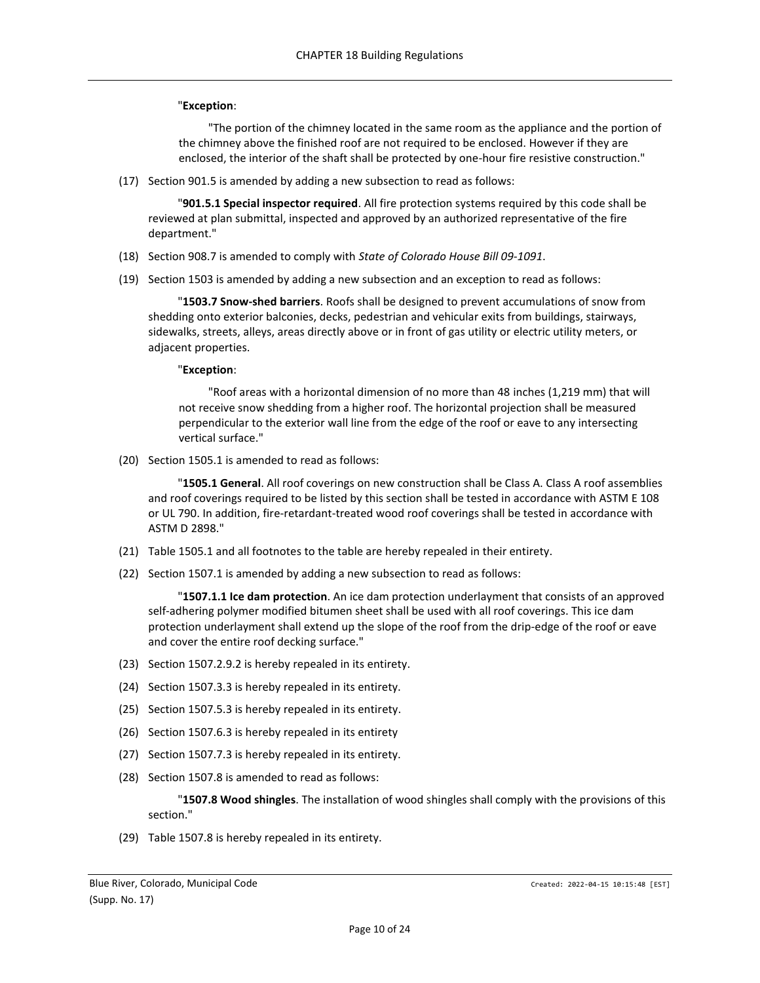#### "**Exception**:

"The portion of the chimney located in the same room as the appliance and the portion of the chimney above the finished roof are not required to be enclosed. However if they are enclosed, the interior of the shaft shall be protected by one-hour fire resistive construction."

(17) Section 901.5 is amended by adding a new subsection to read as follows:

"**901.5.1 Special inspector required**. All fire protection systems required by this code shall be reviewed at plan submittal, inspected and approved by an authorized representative of the fire department."

- (18) Section 908.7 is amended to comply with *State of Colorado House Bill 09-1091*.
- (19) Section 1503 is amended by adding a new subsection and an exception to read as follows:

"**1503.7 Snow-shed barriers**. Roofs shall be designed to prevent accumulations of snow from shedding onto exterior balconies, decks, pedestrian and vehicular exits from buildings, stairways, sidewalks, streets, alleys, areas directly above or in front of gas utility or electric utility meters, or adjacent properties.

#### "**Exception**:

"Roof areas with a horizontal dimension of no more than 48 inches (1,219 mm) that will not receive snow shedding from a higher roof. The horizontal projection shall be measured perpendicular to the exterior wall line from the edge of the roof or eave to any intersecting vertical surface."

(20) Section 1505.1 is amended to read as follows:

"**1505.1 General**. All roof coverings on new construction shall be Class A. Class A roof assemblies and roof coverings required to be listed by this section shall be tested in accordance with ASTM E 108 or UL 790. In addition, fire-retardant-treated wood roof coverings shall be tested in accordance with ASTM D 2898."

- (21) Table 1505.1 and all footnotes to the table are hereby repealed in their entirety.
- (22) Section 1507.1 is amended by adding a new subsection to read as follows:

"**1507.1.1 Ice dam protection**. An ice dam protection underlayment that consists of an approved self-adhering polymer modified bitumen sheet shall be used with all roof coverings. This ice dam protection underlayment shall extend up the slope of the roof from the drip-edge of the roof or eave and cover the entire roof decking surface."

- (23) Section 1507.2.9.2 is hereby repealed in its entirety.
- (24) Section 1507.3.3 is hereby repealed in its entirety.
- (25) Section 1507.5.3 is hereby repealed in its entirety.
- (26) Section 1507.6.3 is hereby repealed in its entirety
- (27) Section 1507.7.3 is hereby repealed in its entirety.
- (28) Section 1507.8 is amended to read as follows:

"**1507.8 Wood shingles**. The installation of wood shingles shall comply with the provisions of this section."

(29) Table 1507.8 is hereby repealed in its entirety.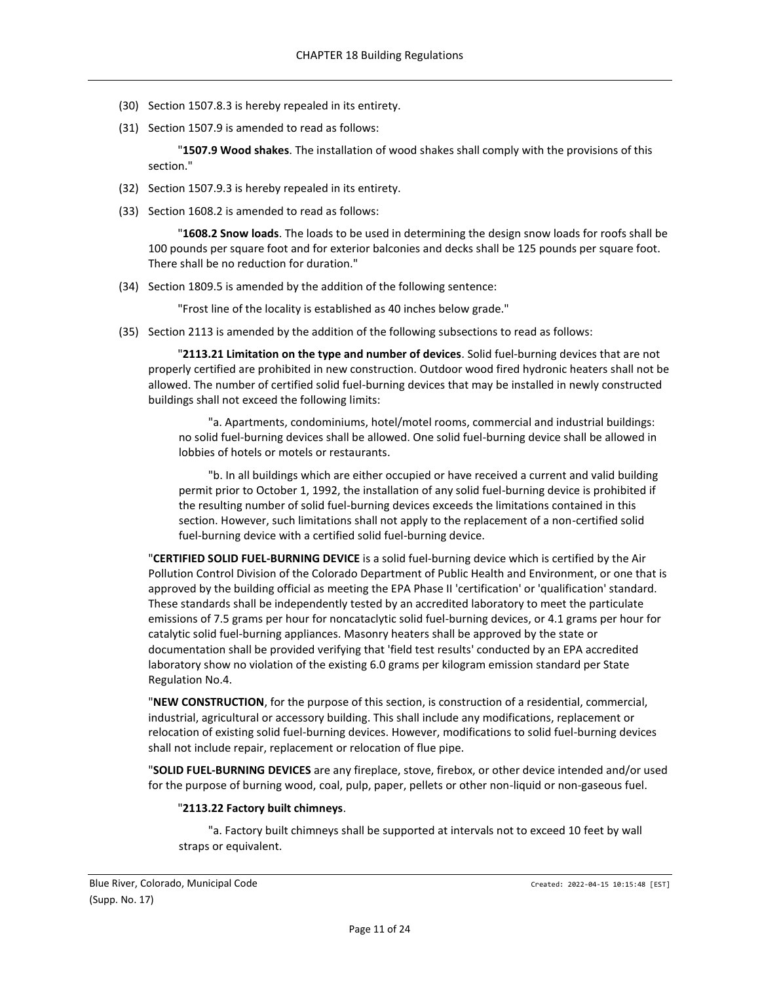- (30) Section 1507.8.3 is hereby repealed in its entirety.
- (31) Section 1507.9 is amended to read as follows:

"**1507.9 Wood shakes**. The installation of wood shakes shall comply with the provisions of this section."

- (32) Section 1507.9.3 is hereby repealed in its entirety.
- (33) Section 1608.2 is amended to read as follows:

"**1608.2 Snow loads**. The loads to be used in determining the design snow loads for roofs shall be 100 pounds per square foot and for exterior balconies and decks shall be 125 pounds per square foot. There shall be no reduction for duration."

(34) Section 1809.5 is amended by the addition of the following sentence:

"Frost line of the locality is established as 40 inches below grade."

(35) Section 2113 is amended by the addition of the following subsections to read as follows:

"**2113.21 Limitation on the type and number of devices**. Solid fuel-burning devices that are not properly certified are prohibited in new construction. Outdoor wood fired hydronic heaters shall not be allowed. The number of certified solid fuel-burning devices that may be installed in newly constructed buildings shall not exceed the following limits:

"a. Apartments, condominiums, hotel/motel rooms, commercial and industrial buildings: no solid fuel-burning devices shall be allowed. One solid fuel-burning device shall be allowed in lobbies of hotels or motels or restaurants.

"b. In all buildings which are either occupied or have received a current and valid building permit prior to October 1, 1992, the installation of any solid fuel-burning device is prohibited if the resulting number of solid fuel-burning devices exceeds the limitations contained in this section. However, such limitations shall not apply to the replacement of a non-certified solid fuel-burning device with a certified solid fuel-burning device.

"**CERTIFIED SOLID FUEL-BURNING DEVICE** is a solid fuel-burning device which is certified by the Air Pollution Control Division of the Colorado Department of Public Health and Environment, or one that is approved by the building official as meeting the EPA Phase II 'certification' or 'qualification' standard. These standards shall be independently tested by an accredited laboratory to meet the particulate emissions of 7.5 grams per hour for noncataclytic solid fuel-burning devices, or 4.1 grams per hour for catalytic solid fuel-burning appliances. Masonry heaters shall be approved by the state or documentation shall be provided verifying that 'field test results' conducted by an EPA accredited laboratory show no violation of the existing 6.0 grams per kilogram emission standard per State Regulation No.4.

"**NEW CONSTRUCTION**, for the purpose of this section, is construction of a residential, commercial, industrial, agricultural or accessory building. This shall include any modifications, replacement or relocation of existing solid fuel-burning devices. However, modifications to solid fuel-burning devices shall not include repair, replacement or relocation of flue pipe.

"**SOLID FUEL-BURNING DEVICES** are any fireplace, stove, firebox, or other device intended and/or used for the purpose of burning wood, coal, pulp, paper, pellets or other non-liquid or non-gaseous fuel.

#### "**2113.22 Factory built chimneys**.

"a. Factory built chimneys shall be supported at intervals not to exceed 10 feet by wall straps or equivalent.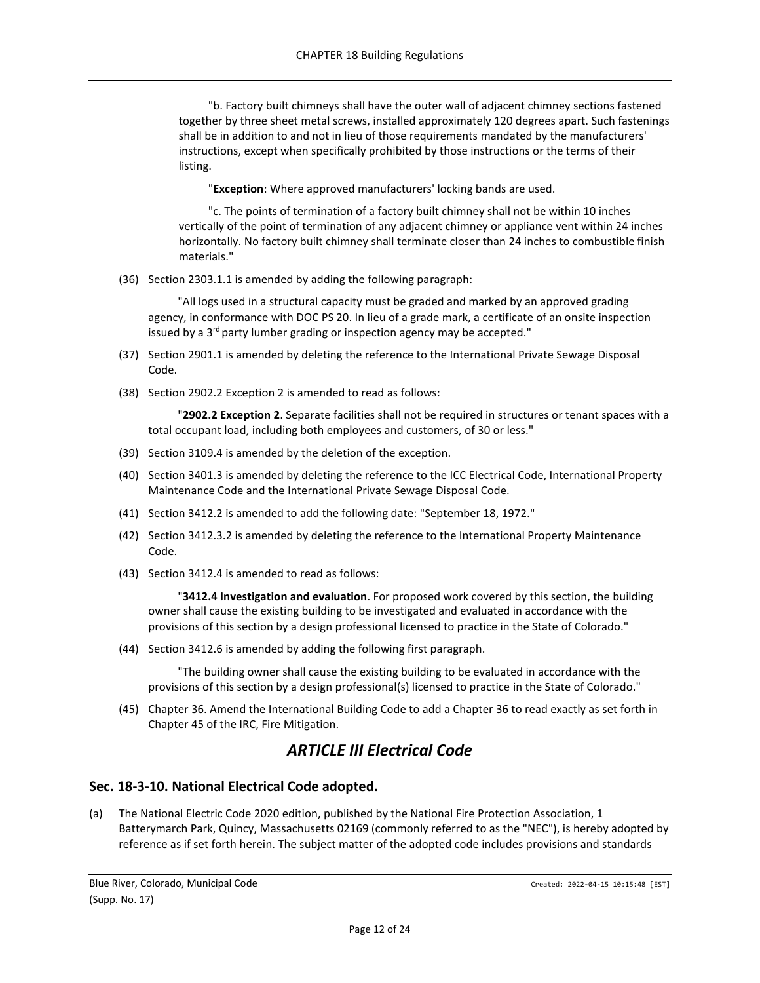"b. Factory built chimneys shall have the outer wall of adjacent chimney sections fastened together by three sheet metal screws, installed approximately 120 degrees apart. Such fastenings shall be in addition to and not in lieu of those requirements mandated by the manufacturers' instructions, except when specifically prohibited by those instructions or the terms of their listing.

"**Exception**: Where approved manufacturers' locking bands are used.

"c. The points of termination of a factory built chimney shall not be within 10 inches vertically of the point of termination of any adjacent chimney or appliance vent within 24 inches horizontally. No factory built chimney shall terminate closer than 24 inches to combustible finish materials."

(36) Section 2303.1.1 is amended by adding the following paragraph:

"All logs used in a structural capacity must be graded and marked by an approved grading agency, in conformance with DOC PS 20. In lieu of a grade mark, a certificate of an onsite inspection issued by a 3<sup>rd</sup> party lumber grading or inspection agency may be accepted."

- (37) Section 2901.1 is amended by deleting the reference to the International Private Sewage Disposal Code.
- (38) Section 2902.2 Exception 2 is amended to read as follows:

"**2902.2 Exception 2**. Separate facilities shall not be required in structures or tenant spaces with a total occupant load, including both employees and customers, of 30 or less."

- (39) Section 3109.4 is amended by the deletion of the exception.
- (40) Section 3401.3 is amended by deleting the reference to the ICC Electrical Code, International Property Maintenance Code and the International Private Sewage Disposal Code.
- (41) Section 3412.2 is amended to add the following date: "September 18, 1972."
- (42) Section 3412.3.2 is amended by deleting the reference to the International Property Maintenance Code.
- (43) Section 3412.4 is amended to read as follows:

"**3412.4 Investigation and evaluation**. For proposed work covered by this section, the building owner shall cause the existing building to be investigated and evaluated in accordance with the provisions of this section by a design professional licensed to practice in the State of Colorado."

(44) Section 3412.6 is amended by adding the following first paragraph.

"The building owner shall cause the existing building to be evaluated in accordance with the provisions of this section by a design professional(s) licensed to practice in the State of Colorado."

(45) Chapter 36. Amend the International Building Code to add a Chapter 36 to read exactly as set forth in Chapter 45 of the IRC, Fire Mitigation.

# *ARTICLE III Electrical Code*

### <span id="page-11-1"></span><span id="page-11-0"></span>**Sec. 18-3-10. National Electrical Code adopted.**

(a) The National Electric Code 2020 edition, published by the National Fire Protection Association, 1 Batterymarch Park, Quincy, Massachusetts 02169 (commonly referred to as the "NEC"), is hereby adopted by reference as if set forth herein. The subject matter of the adopted code includes provisions and standards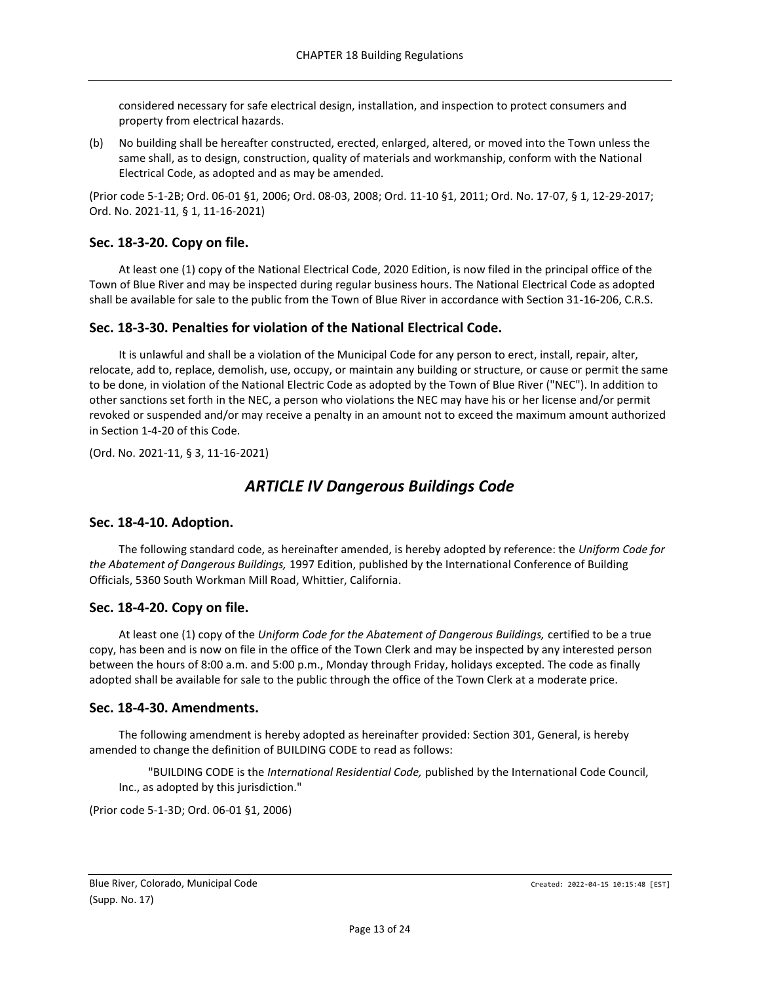considered necessary for safe electrical design, installation, and inspection to protect consumers and property from electrical hazards.

(b) No building shall be hereafter constructed, erected, enlarged, altered, or moved into the Town unless the same shall, as to design, construction, quality of materials and workmanship, conform with the National Electrical Code, as adopted and as may be amended.

(Prior code 5-1-2B; Ord. 06-01 §1, 2006; Ord. 08-03, 2008; Ord. 11-10 §1, 2011; Ord. No. 17-07, § 1, 12-29-2017; Ord. No. 2021-11, § 1, 11-16-2021)

## <span id="page-12-0"></span>**Sec. 18-3-20. Copy on file.**

At least one (1) copy of the National Electrical Code, 2020 Edition, is now filed in the principal office of the Town of Blue River and may be inspected during regular business hours. The National Electrical Code as adopted shall be available for sale to the public from the Town of Blue River in accordance with Section 31-16-206, C.R.S.

## <span id="page-12-1"></span>**Sec. 18-3-30. Penalties for violation of the National Electrical Code.**

It is unlawful and shall be a violation of the Municipal Code for any person to erect, install, repair, alter, relocate, add to, replace, demolish, use, occupy, or maintain any building or structure, or cause or permit the same to be done, in violation of the National Electric Code as adopted by the Town of Blue River ("NEC"). In addition to other sanctions set forth in the NEC, a person who violations the NEC may have his or her license and/or permit revoked or suspended and/or may receive a penalty in an amount not to exceed the maximum amount authorized in Section 1-4-20 of this Code.

<span id="page-12-2"></span>(Ord. No. 2021-11, § 3, 11-16-2021)

## *ARTICLE IV Dangerous Buildings Code*

### <span id="page-12-3"></span>**Sec. 18-4-10. Adoption.**

The following standard code, as hereinafter amended, is hereby adopted by reference: the *Uniform Code for the Abatement of Dangerous Buildings,* 1997 Edition, published by the International Conference of Building Officials, 5360 South Workman Mill Road, Whittier, California.

### <span id="page-12-4"></span>**Sec. 18-4-20. Copy on file.**

At least one (1) copy of the *Uniform Code for the Abatement of Dangerous Buildings,* certified to be a true copy, has been and is now on file in the office of the Town Clerk and may be inspected by any interested person between the hours of 8:00 a.m. and 5:00 p.m., Monday through Friday, holidays excepted. The code as finally adopted shall be available for sale to the public through the office of the Town Clerk at a moderate price.

### <span id="page-12-5"></span>**Sec. 18-4-30. Amendments.**

The following amendment is hereby adopted as hereinafter provided: Section 301, General, is hereby amended to change the definition of BUILDING CODE to read as follows:

"BUILDING CODE is the *International Residential Code,* published by the International Code Council, Inc., as adopted by this jurisdiction."

(Prior code 5-1-3D; Ord. 06-01 §1, 2006)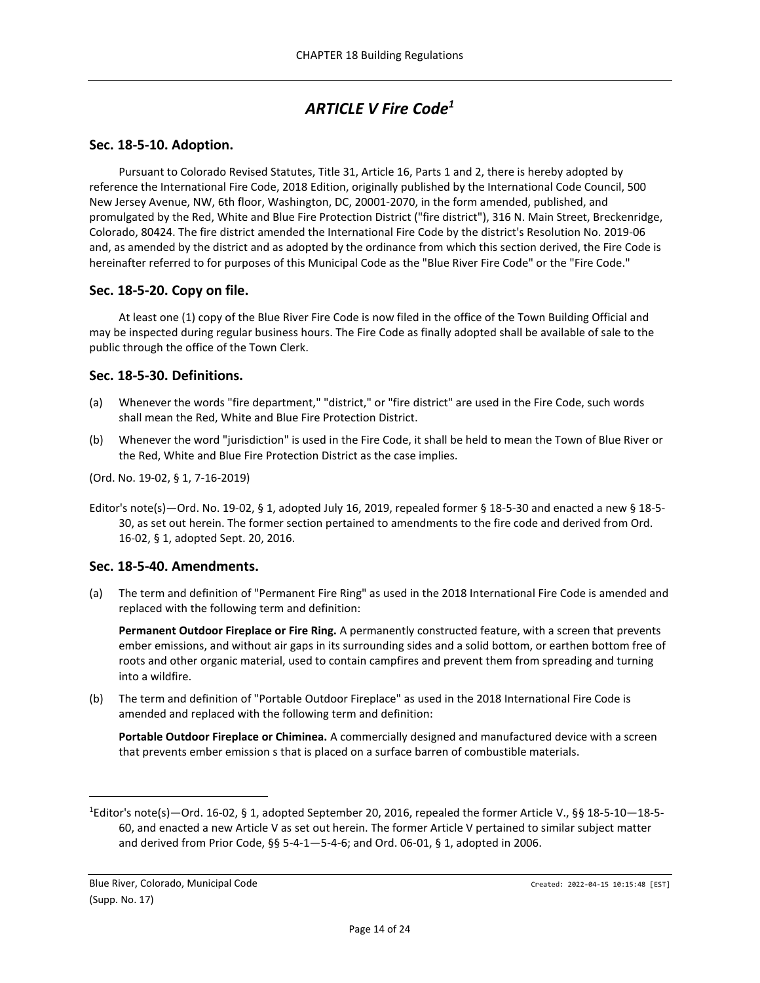# *ARTICLE V Fire Code<sup>1</sup>*

## <span id="page-13-1"></span><span id="page-13-0"></span>**Sec. 18-5-10. Adoption.**

Pursuant to Colorado Revised Statutes, Title 31, Article 16, Parts 1 and 2, there is hereby adopted by reference the International Fire Code, 2018 Edition, originally published by the International Code Council, 500 New Jersey Avenue, NW, 6th floor, Washington, DC, 20001-2070, in the form amended, published, and promulgated by the Red, White and Blue Fire Protection District ("fire district"), 316 N. Main Street, Breckenridge, Colorado, 80424. The fire district amended the International Fire Code by the district's Resolution No. 2019-06 and, as amended by the district and as adopted by the ordinance from which this section derived, the Fire Code is hereinafter referred to for purposes of this Municipal Code as the "Blue River Fire Code" or the "Fire Code."

## <span id="page-13-2"></span>**Sec. 18-5-20. Copy on file.**

At least one (1) copy of the Blue River Fire Code is now filed in the office of the Town Building Official and may be inspected during regular business hours. The Fire Code as finally adopted shall be available of sale to the public through the office of the Town Clerk.

## <span id="page-13-3"></span>**Sec. 18-5-30. Definitions.**

- (a) Whenever the words "fire department," "district," or "fire district" are used in the Fire Code, such words shall mean the Red, White and Blue Fire Protection District.
- (b) Whenever the word "jurisdiction" is used in the Fire Code, it shall be held to mean the Town of Blue River or the Red, White and Blue Fire Protection District as the case implies.

(Ord. No. 19-02, § 1, 7-16-2019)

Editor's note(s)—Ord. No. 19-02, § 1, adopted July 16, 2019, repealed former § 18-5-30 and enacted a new § 18-5-30, as set out herein. The former section pertained to amendments to the fire code and derived from Ord. 16-02, § 1, adopted Sept. 20, 2016.

## <span id="page-13-4"></span>**Sec. 18-5-40. Amendments.**

(a) The term and definition of "Permanent Fire Ring" as used in the 2018 International Fire Code is amended and replaced with the following term and definition:

**Permanent Outdoor Fireplace or Fire Ring.** A permanently constructed feature, with a screen that prevents ember emissions, and without air gaps in its surrounding sides and a solid bottom, or earthen bottom free of roots and other organic material, used to contain campfires and prevent them from spreading and turning into a wildfire.

(b) The term and definition of "Portable Outdoor Fireplace" as used in the 2018 International Fire Code is amended and replaced with the following term and definition:

**Portable Outdoor Fireplace or Chiminea.** A commercially designed and manufactured device with a screen that prevents ember emission s that is placed on a surface barren of combustible materials.

<sup>1</sup>Editor's note(s)—Ord. 16-02, § 1, adopted September 20, 2016, repealed the former Article V., §§ 18-5-10—18-5- 60, and enacted a new Article V as set out herein. The former Article V pertained to similar subject matter and derived from Prior Code, §§ 5-4-1—5-4-6; and Ord. 06-01, § 1, adopted in 2006.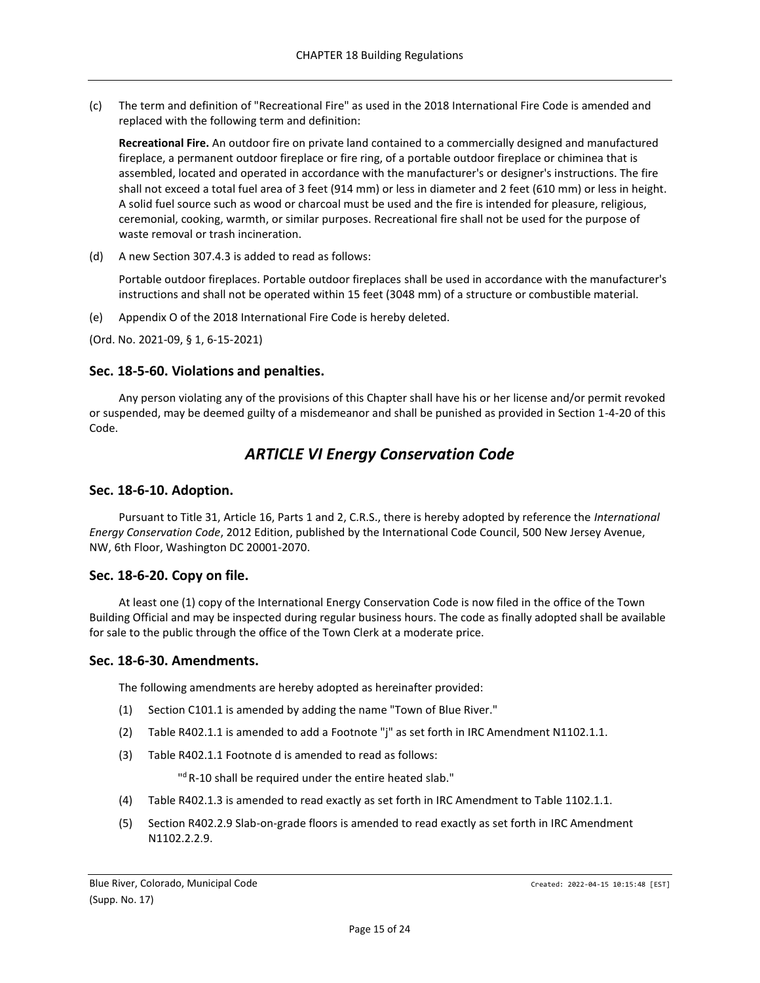(c) The term and definition of "Recreational Fire" as used in the 2018 International Fire Code is amended and replaced with the following term and definition:

**Recreational Fire.** An outdoor fire on private land contained to a commercially designed and manufactured fireplace, a permanent outdoor fireplace or fire ring, of a portable outdoor fireplace or chiminea that is assembled, located and operated in accordance with the manufacturer's or designer's instructions. The fire shall not exceed a total fuel area of 3 feet (914 mm) or less in diameter and 2 feet (610 mm) or less in height. A solid fuel source such as wood or charcoal must be used and the fire is intended for pleasure, religious, ceremonial, cooking, warmth, or similar purposes. Recreational fire shall not be used for the purpose of waste removal or trash incineration.

(d) A new Section 307.4.3 is added to read as follows:

Portable outdoor fireplaces. Portable outdoor fireplaces shall be used in accordance with the manufacturer's instructions and shall not be operated within 15 feet (3048 mm) of a structure or combustible material.

(e) Appendix O of the 2018 International Fire Code is hereby deleted.

(Ord. No. 2021-09, § 1, 6-15-2021)

### <span id="page-14-0"></span>**Sec. 18-5-60. Violations and penalties.**

Any person violating any of the provisions of this Chapter shall have his or her license and/or permit revoked or suspended, may be deemed guilty of a misdemeanor and shall be punished as provided in Section 1-4-20 of this Code.

# *ARTICLE VI Energy Conservation Code*

## <span id="page-14-2"></span><span id="page-14-1"></span>**Sec. 18-6-10. Adoption.**

Pursuant to Title 31, Article 16, Parts 1 and 2, C.R.S., there is hereby adopted by reference the *International Energy Conservation Code*, 2012 Edition, published by the International Code Council, 500 New Jersey Avenue, NW, 6th Floor, Washington DC 20001-2070.

### <span id="page-14-3"></span>**Sec. 18-6-20. Copy on file.**

At least one (1) copy of the International Energy Conservation Code is now filed in the office of the Town Building Official and may be inspected during regular business hours. The code as finally adopted shall be available for sale to the public through the office of the Town Clerk at a moderate price.

#### <span id="page-14-4"></span>**Sec. 18-6-30. Amendments.**

The following amendments are hereby adopted as hereinafter provided:

- (1) Section C101.1 is amended by adding the name "Town of Blue River."
- (2) Table R402.1.1 is amended to add a Footnote "j" as set forth in IRC Amendment N1102.1.1.
- (3) Table R402.1.1 Footnote d is amended to read as follows:

"<sup>d</sup> R-10 shall be required under the entire heated slab."

- (4) Table R402.1.3 is amended to read exactly as set forth in IRC Amendment to Table 1102.1.1.
- (5) Section R402.2.9 Slab-on-grade floors is amended to read exactly as set forth in IRC Amendment N1102.2.2.9.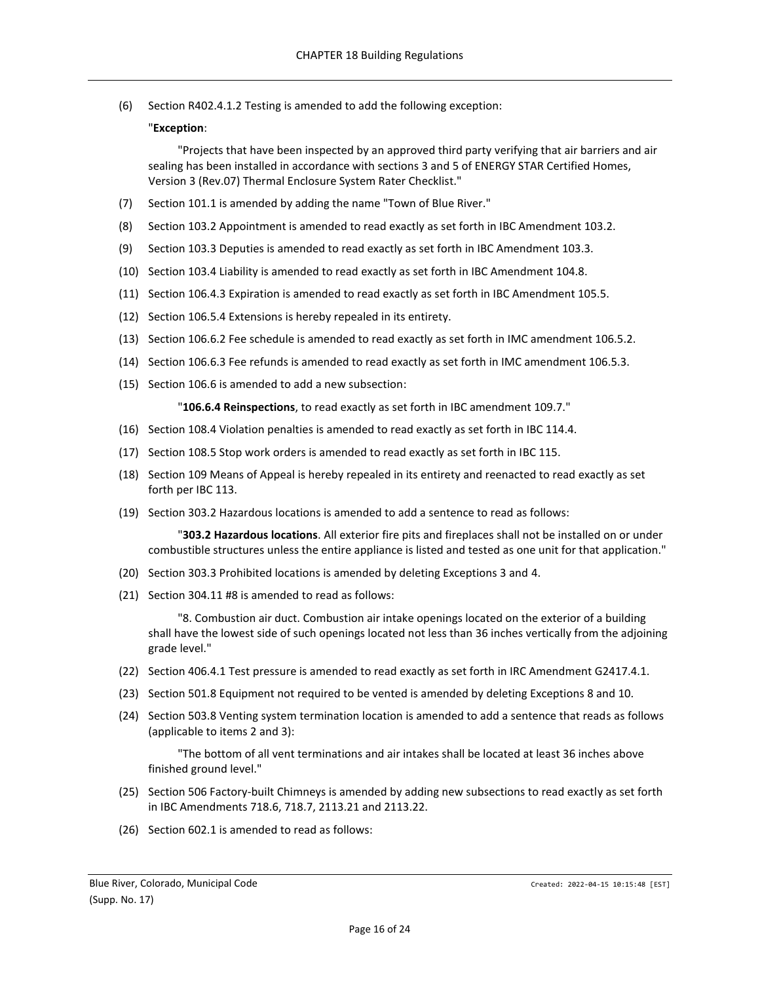(6) Section R402.4.1.2 Testing is amended to add the following exception:

#### "**Exception**:

"Projects that have been inspected by an approved third party verifying that air barriers and air sealing has been installed in accordance with sections 3 and 5 of ENERGY STAR Certified Homes, Version 3 (Rev.07) Thermal Enclosure System Rater Checklist."

- (7) Section 101.1 is amended by adding the name "Town of Blue River."
- (8) Section 103.2 Appointment is amended to read exactly as set forth in IBC Amendment 103.2.
- (9) Section 103.3 Deputies is amended to read exactly as set forth in IBC Amendment 103.3.
- (10) Section 103.4 Liability is amended to read exactly as set forth in IBC Amendment 104.8.
- (11) Section 106.4.3 Expiration is amended to read exactly as set forth in IBC Amendment 105.5.
- (12) Section 106.5.4 Extensions is hereby repealed in its entirety.
- (13) Section 106.6.2 Fee schedule is amended to read exactly as set forth in IMC amendment 106.5.2.
- (14) Section 106.6.3 Fee refunds is amended to read exactly as set forth in IMC amendment 106.5.3.
- (15) Section 106.6 is amended to add a new subsection:

"**106.6.4 Reinspections**, to read exactly as set forth in IBC amendment 109.7."

- (16) Section 108.4 Violation penalties is amended to read exactly as set forth in IBC 114.4.
- (17) Section 108.5 Stop work orders is amended to read exactly as set forth in IBC 115.
- (18) Section 109 Means of Appeal is hereby repealed in its entirety and reenacted to read exactly as set forth per IBC 113.
- (19) Section 303.2 Hazardous locations is amended to add a sentence to read as follows:

"**303.2 Hazardous locations**. All exterior fire pits and fireplaces shall not be installed on or under combustible structures unless the entire appliance is listed and tested as one unit for that application."

- (20) Section 303.3 Prohibited locations is amended by deleting Exceptions 3 and 4.
- (21) Section 304.11 #8 is amended to read as follows:

"8. Combustion air duct. Combustion air intake openings located on the exterior of a building shall have the lowest side of such openings located not less than 36 inches vertically from the adjoining grade level."

- (22) Section 406.4.1 Test pressure is amended to read exactly as set forth in IRC Amendment G2417.4.1.
- (23) Section 501.8 Equipment not required to be vented is amended by deleting Exceptions 8 and 10.
- (24) Section 503.8 Venting system termination location is amended to add a sentence that reads as follows (applicable to items 2 and 3):

"The bottom of all vent terminations and air intakes shall be located at least 36 inches above finished ground level."

- (25) Section 506 Factory-built Chimneys is amended by adding new subsections to read exactly as set forth in IBC Amendments 718.6, 718.7, 2113.21 and 2113.22.
- (26) Section 602.1 is amended to read as follows: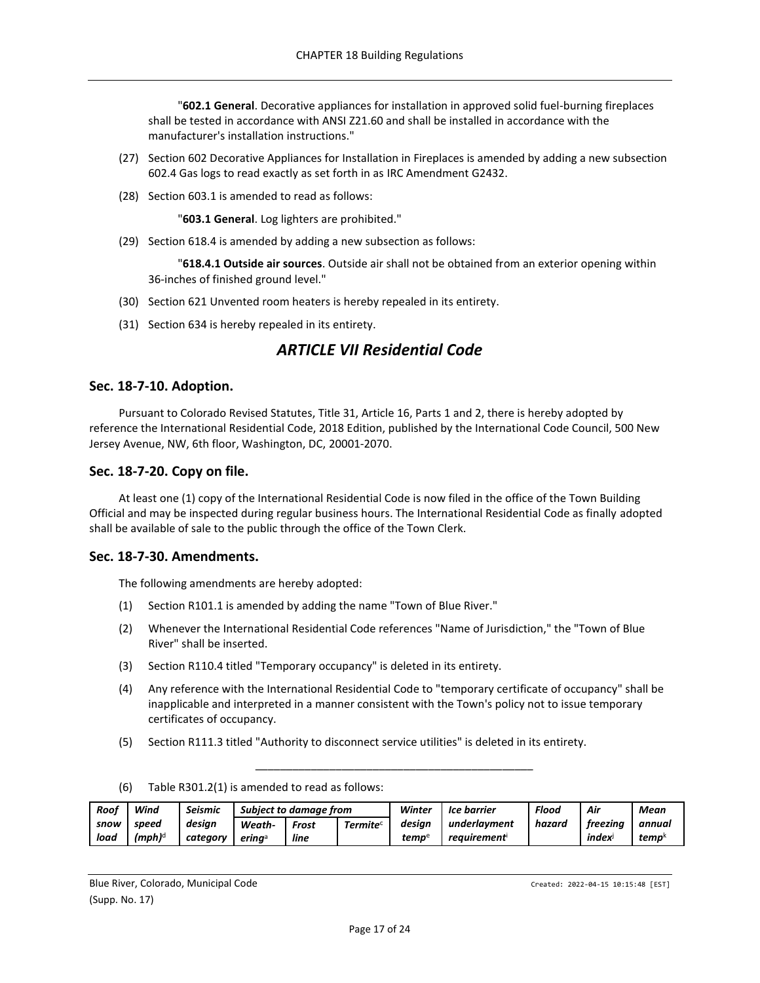"**602.1 General**. Decorative appliances for installation in approved solid fuel-burning fireplaces shall be tested in accordance with ANSI Z21.60 and shall be installed in accordance with the manufacturer's installation instructions."

- (27) Section 602 Decorative Appliances for Installation in Fireplaces is amended by adding a new subsection 602.4 Gas logs to read exactly as set forth in as IRC Amendment G2432.
- (28) Section 603.1 is amended to read as follows:

"**603.1 General**. Log lighters are prohibited."

(29) Section 618.4 is amended by adding a new subsection as follows:

"**618.4.1 Outside air sources**. Outside air shall not be obtained from an exterior opening within 36-inches of finished ground level."

- (30) Section 621 Unvented room heaters is hereby repealed in its entirety.
- <span id="page-16-0"></span>(31) Section 634 is hereby repealed in its entirety.

## *ARTICLE VII Residential Code*

## <span id="page-16-1"></span>**Sec. 18-7-10. Adoption.**

Pursuant to Colorado Revised Statutes, Title 31, Article 16, Parts 1 and 2, there is hereby adopted by reference the International Residential Code, 2018 Edition, published by the International Code Council, 500 New Jersey Avenue, NW, 6th floor, Washington, DC, 20001-2070.

## <span id="page-16-2"></span>**Sec. 18-7-20. Copy on file.**

At least one (1) copy of the International Residential Code is now filed in the office of the Town Building Official and may be inspected during regular business hours. The International Residential Code as finally adopted shall be available of sale to the public through the office of the Town Clerk.

### <span id="page-16-3"></span>**Sec. 18-7-30. Amendments.**

The following amendments are hereby adopted:

- (1) Section R101.1 is amended by adding the name "Town of Blue River."
- (2) Whenever the International Residential Code references "Name of Jurisdiction," the "Town of Blue River" shall be inserted.
- (3) Section R110.4 titled "Temporary occupancy" is deleted in its entirety.
- (4) Any reference with the International Residential Code to "temporary certificate of occupancy" shall be inapplicable and interpreted in a manner consistent with the Town's policy not to issue temporary certificates of occupancy.

\_\_\_\_\_\_\_\_\_\_\_\_\_\_\_\_\_\_\_\_\_\_\_\_\_\_\_\_\_\_\_\_\_\_\_\_\_\_\_\_\_\_\_\_\_

- (5) Section R111.3 titled "Authority to disconnect service utilities" is deleted in its entirety.
- (6) Table R301.2(1) is amended to read as follows:

| Roof | Wind      | Seismic  | Subject to damage from |       |                | Winter            | lce barrier        | Flood  | Air      | Mean              |
|------|-----------|----------|------------------------|-------|----------------|-------------------|--------------------|--------|----------|-------------------|
| snow | speed     | desian   | Weath-                 | Frost | <b>Termite</b> | desian            | underlavment       | hazara | freezina | annual            |
| load | $(mph)^d$ | cateaorv | erina <sup>a</sup>     | line  |                | temp <sup>e</sup> | <i>reauirement</i> |        | index    | temp <sup>k</sup> |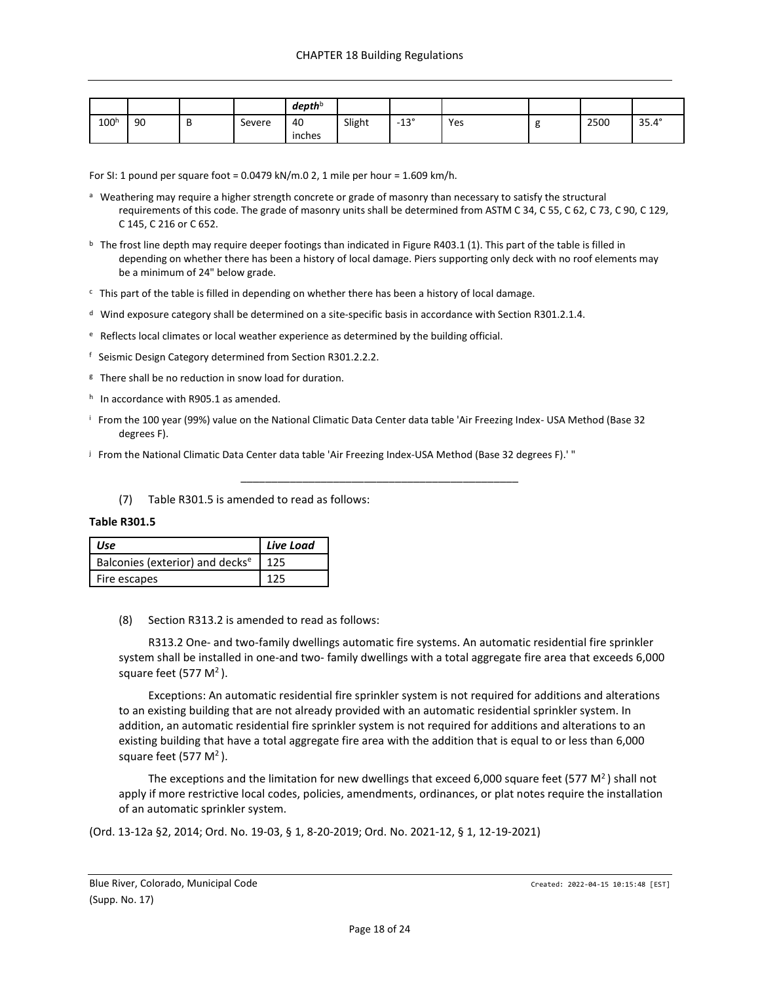|      |    |   |        | depth <sup>b</sup> |        |            |     |         |      |              |
|------|----|---|--------|--------------------|--------|------------|-----|---------|------|--------------|
| 100h | 90 | ٠ | Severe | 40<br>inches       | Slight | 170<br>-15 | Yes | -<br>τ. | 2500 | $35.4^\circ$ |

For SI: 1 pound per square foot =  $0.0479$  kN/m.0 2, 1 mile per hour =  $1.609$  km/h.

- a Weathering may require a higher strength concrete or grade of masonry than necessary to satisfy the structural requirements of this code. The grade of masonry units shall be determined from ASTM C 34, C 55, C 62, C 73, C 90, C 129, C 145, C 216 or C 652.
- $b$  The frost line depth may require deeper footings than indicated in Figure R403.1 (1). This part of the table is filled in depending on whether there has been a history of local damage. Piers supporting only deck with no roof elements may be a minimum of 24" below grade.
- $c$  This part of the table is filled in depending on whether there has been a history of local damage.
- d Wind exposure category shall be determined on a site-specific basis in accordance with Section R301.2.1.4.
- $e$  Reflects local climates or local weather experience as determined by the building official.
- f Seismic Design Category determined from Section R301.2.2.2.
- <sup>g</sup> There shall be no reduction in snow load for duration.
- $h$  In accordance with R905.1 as amended.
- $\frac{1}{1}$  From the 100 year (99%) value on the National Climatic Data Center data table 'Air Freezing Index- USA Method (Base 32) degrees F).

\_\_\_\_\_\_\_\_\_\_\_\_\_\_\_\_\_\_\_\_\_\_\_\_\_\_\_\_\_\_\_\_\_\_\_\_\_\_\_\_\_\_\_\_\_

<sup>j</sup>From the National Climatic Data Center data table 'Air Freezing Index-USA Method (Base 32 degrees F).' "

(7) Table R301.5 is amended to read as follows:

#### **Table R301.5**

| Use                                         | <b>Live Load</b> |
|---------------------------------------------|------------------|
| Balconies (exterior) and decks <sup>e</sup> | 125              |
| Fire escapes                                |                  |

(8) Section R313.2 is amended to read as follows:

R313.2 One- and two-family dwellings automatic fire systems. An automatic residential fire sprinkler system shall be installed in one-and two- family dwellings with a total aggregate fire area that exceeds 6,000 square feet (577 $M^2$ ).

Exceptions: An automatic residential fire sprinkler system is not required for additions and alterations to an existing building that are not already provided with an automatic residential sprinkler system. In addition, an automatic residential fire sprinkler system is not required for additions and alterations to an existing building that have a total aggregate fire area with the addition that is equal to or less than 6,000 square feet (577 $M<sup>2</sup>$ ).

The exceptions and the limitation for new dwellings that exceed 6,000 square feet (577 M<sup>2</sup>) shall not apply if more restrictive local codes, policies, amendments, ordinances, or plat notes require the installation of an automatic sprinkler system.

(Ord. 13-12a §2, 2014; Ord. No. 19-03, § 1, 8-20-2019; Ord. No. 2021-12, § 1, 12-19-2021)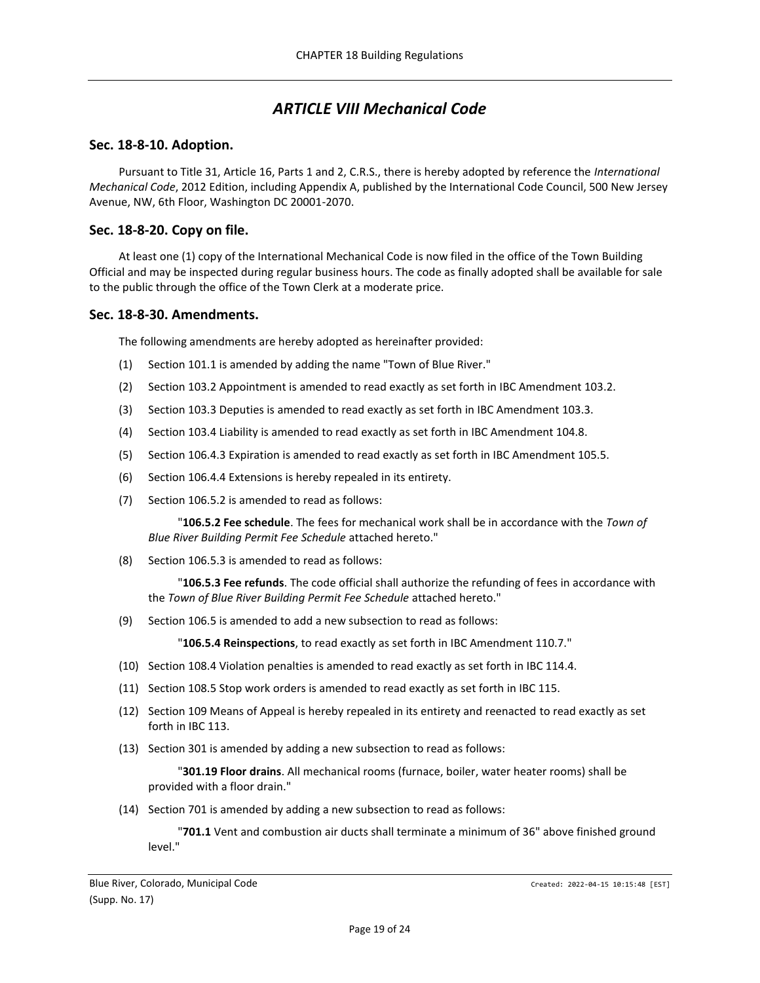# *ARTICLE VIII Mechanical Code*

### <span id="page-18-1"></span><span id="page-18-0"></span>**Sec. 18-8-10. Adoption.**

Pursuant to Title 31, Article 16, Parts 1 and 2, C.R.S., there is hereby adopted by reference the *International Mechanical Code*, 2012 Edition, including Appendix A, published by the International Code Council, 500 New Jersey Avenue, NW, 6th Floor, Washington DC 20001-2070.

## <span id="page-18-2"></span>**Sec. 18-8-20. Copy on file.**

At least one (1) copy of the International Mechanical Code is now filed in the office of the Town Building Official and may be inspected during regular business hours. The code as finally adopted shall be available for sale to the public through the office of the Town Clerk at a moderate price.

### <span id="page-18-3"></span>**Sec. 18-8-30. Amendments.**

The following amendments are hereby adopted as hereinafter provided:

- (1) Section 101.1 is amended by adding the name "Town of Blue River."
- (2) Section 103.2 Appointment is amended to read exactly as set forth in IBC Amendment 103.2.
- (3) Section 103.3 Deputies is amended to read exactly as set forth in IBC Amendment 103.3.
- (4) Section 103.4 Liability is amended to read exactly as set forth in IBC Amendment 104.8.
- (5) Section 106.4.3 Expiration is amended to read exactly as set forth in IBC Amendment 105.5.
- (6) Section 106.4.4 Extensions is hereby repealed in its entirety.
- (7) Section 106.5.2 is amended to read as follows:

"**106.5.2 Fee schedule**. The fees for mechanical work shall be in accordance with the *Town of Blue River Building Permit Fee Schedule* attached hereto."

(8) Section 106.5.3 is amended to read as follows:

"**106.5.3 Fee refunds**. The code official shall authorize the refunding of fees in accordance with the *Town of Blue River Building Permit Fee Schedule* attached hereto."

(9) Section 106.5 is amended to add a new subsection to read as follows:

"**106.5.4 Reinspections**, to read exactly as set forth in IBC Amendment 110.7."

- (10) Section 108.4 Violation penalties is amended to read exactly as set forth in IBC 114.4.
- (11) Section 108.5 Stop work orders is amended to read exactly as set forth in IBC 115.
- (12) Section 109 Means of Appeal is hereby repealed in its entirety and reenacted to read exactly as set forth in IBC 113.
- (13) Section 301 is amended by adding a new subsection to read as follows:

"**301.19 Floor drains**. All mechanical rooms (furnace, boiler, water heater rooms) shall be provided with a floor drain."

(14) Section 701 is amended by adding a new subsection to read as follows:

"**701.1** Vent and combustion air ducts shall terminate a minimum of 36" above finished ground level."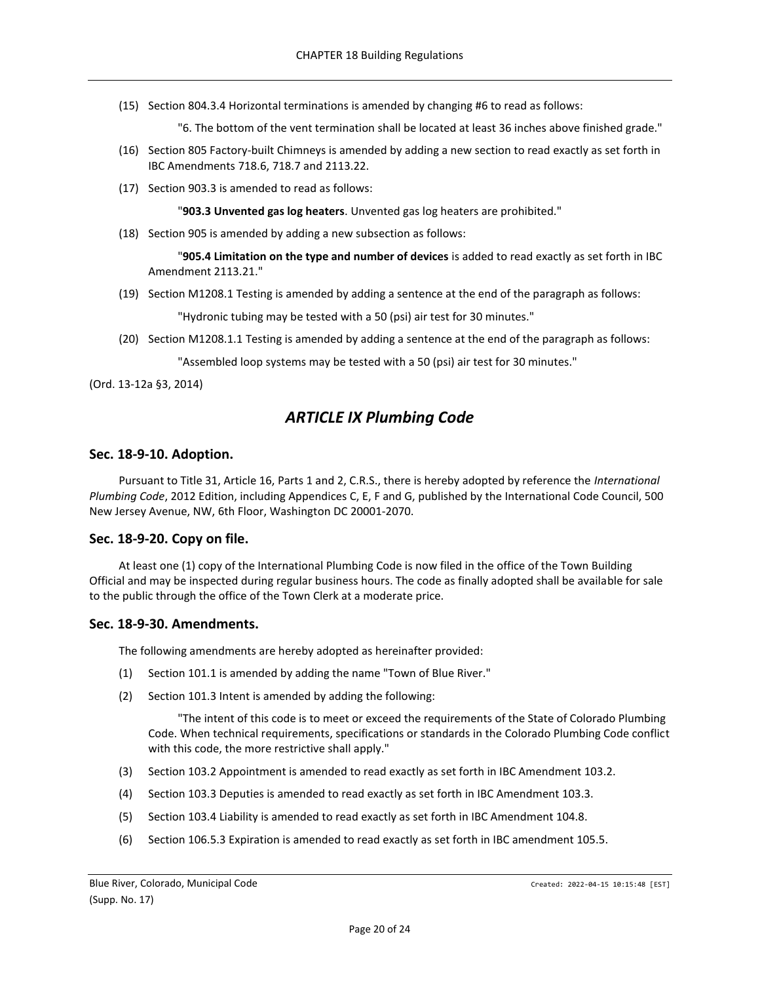(15) Section 804.3.4 Horizontal terminations is amended by changing #6 to read as follows:

"6. The bottom of the vent termination shall be located at least 36 inches above finished grade."

- (16) Section 805 Factory-built Chimneys is amended by adding a new section to read exactly as set forth in IBC Amendments 718.6, 718.7 and 2113.22.
- (17) Section 903.3 is amended to read as follows:

"**903.3 Unvented gas log heaters**. Unvented gas log heaters are prohibited."

(18) Section 905 is amended by adding a new subsection as follows:

"**905.4 Limitation on the type and number of devices** is added to read exactly as set forth in IBC Amendment 2113.21."

(19) Section M1208.1 Testing is amended by adding a sentence at the end of the paragraph as follows:

"Hydronic tubing may be tested with a 50 (psi) air test for 30 minutes."

(20) Section M1208.1.1 Testing is amended by adding a sentence at the end of the paragraph as follows:

"Assembled loop systems may be tested with a 50 (psi) air test for 30 minutes."

<span id="page-19-0"></span>(Ord. 13-12a §3, 2014)

## *ARTICLE IX Plumbing Code*

## <span id="page-19-1"></span>**Sec. 18-9-10. Adoption.**

Pursuant to Title 31, Article 16, Parts 1 and 2, C.R.S., there is hereby adopted by reference the *International Plumbing Code*, 2012 Edition, including Appendices C, E, F and G, published by the International Code Council, 500 New Jersey Avenue, NW, 6th Floor, Washington DC 20001-2070.

### <span id="page-19-2"></span>**Sec. 18-9-20. Copy on file.**

At least one (1) copy of the International Plumbing Code is now filed in the office of the Town Building Official and may be inspected during regular business hours. The code as finally adopted shall be available for sale to the public through the office of the Town Clerk at a moderate price.

## <span id="page-19-3"></span>**Sec. 18-9-30. Amendments.**

The following amendments are hereby adopted as hereinafter provided:

- (1) Section 101.1 is amended by adding the name "Town of Blue River."
- (2) Section 101.3 Intent is amended by adding the following:

"The intent of this code is to meet or exceed the requirements of the State of Colorado Plumbing Code. When technical requirements, specifications or standards in the Colorado Plumbing Code conflict with this code, the more restrictive shall apply."

- (3) Section 103.2 Appointment is amended to read exactly as set forth in IBC Amendment 103.2.
- (4) Section 103.3 Deputies is amended to read exactly as set forth in IBC Amendment 103.3.
- (5) Section 103.4 Liability is amended to read exactly as set forth in IBC Amendment 104.8.
- (6) Section 106.5.3 Expiration is amended to read exactly as set forth in IBC amendment 105.5.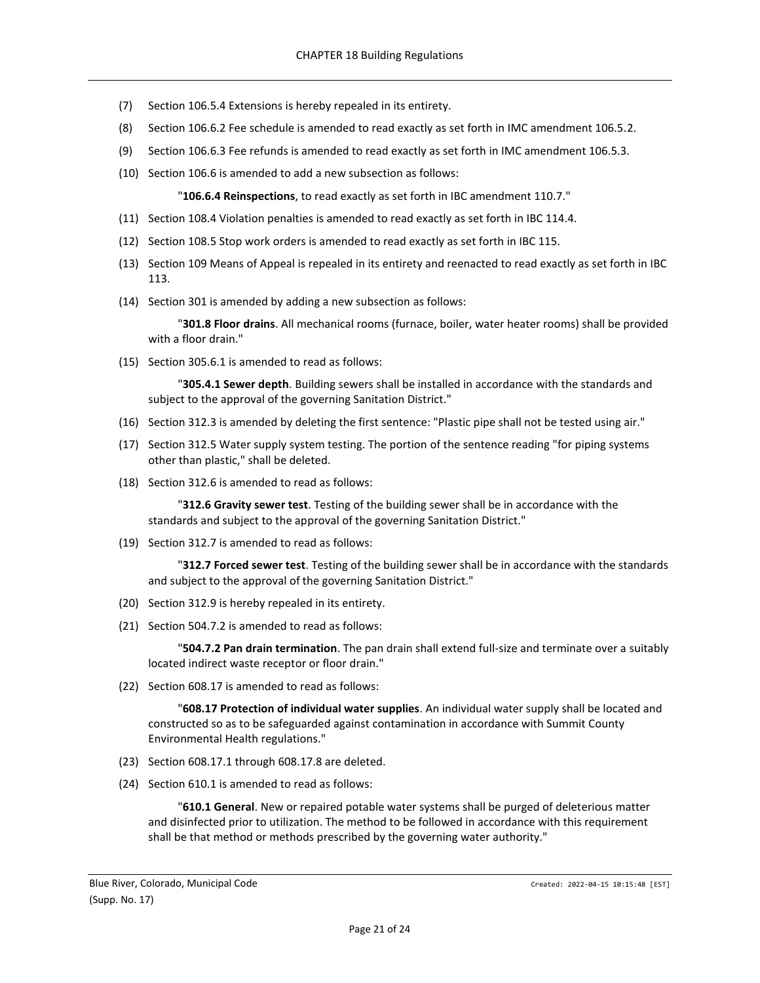- (7) Section 106.5.4 Extensions is hereby repealed in its entirety.
- (8) Section 106.6.2 Fee schedule is amended to read exactly as set forth in IMC amendment 106.5.2.
- (9) Section 106.6.3 Fee refunds is amended to read exactly as set forth in IMC amendment 106.5.3.
- (10) Section 106.6 is amended to add a new subsection as follows:

"**106.6.4 Reinspections**, to read exactly as set forth in IBC amendment 110.7."

- (11) Section 108.4 Violation penalties is amended to read exactly as set forth in IBC 114.4.
- (12) Section 108.5 Stop work orders is amended to read exactly as set forth in IBC 115.
- (13) Section 109 Means of Appeal is repealed in its entirety and reenacted to read exactly as set forth in IBC 113.
- (14) Section 301 is amended by adding a new subsection as follows:

"**301.8 Floor drains**. All mechanical rooms (furnace, boiler, water heater rooms) shall be provided with a floor drain."

(15) Section 305.6.1 is amended to read as follows:

"**305.4.1 Sewer depth**. Building sewers shall be installed in accordance with the standards and subject to the approval of the governing Sanitation District."

- (16) Section 312.3 is amended by deleting the first sentence: "Plastic pipe shall not be tested using air."
- (17) Section 312.5 Water supply system testing. The portion of the sentence reading "for piping systems other than plastic," shall be deleted.
- (18) Section 312.6 is amended to read as follows:

"**312.6 Gravity sewer test**. Testing of the building sewer shall be in accordance with the standards and subject to the approval of the governing Sanitation District."

(19) Section 312.7 is amended to read as follows:

"**312.7 Forced sewer test**. Testing of the building sewer shall be in accordance with the standards and subject to the approval of the governing Sanitation District."

- (20) Section 312.9 is hereby repealed in its entirety.
- (21) Section 504.7.2 is amended to read as follows:

"**504.7.2 Pan drain termination**. The pan drain shall extend full-size and terminate over a suitably located indirect waste receptor or floor drain."

(22) Section 608.17 is amended to read as follows:

"**608.17 Protection of individual water supplies**. An individual water supply shall be located and constructed so as to be safeguarded against contamination in accordance with Summit County Environmental Health regulations."

- (23) Section 608.17.1 through 608.17.8 are deleted.
- (24) Section 610.1 is amended to read as follows:

"**610.1 General**. New or repaired potable water systems shall be purged of deleterious matter and disinfected prior to utilization. The method to be followed in accordance with this requirement shall be that method or methods prescribed by the governing water authority."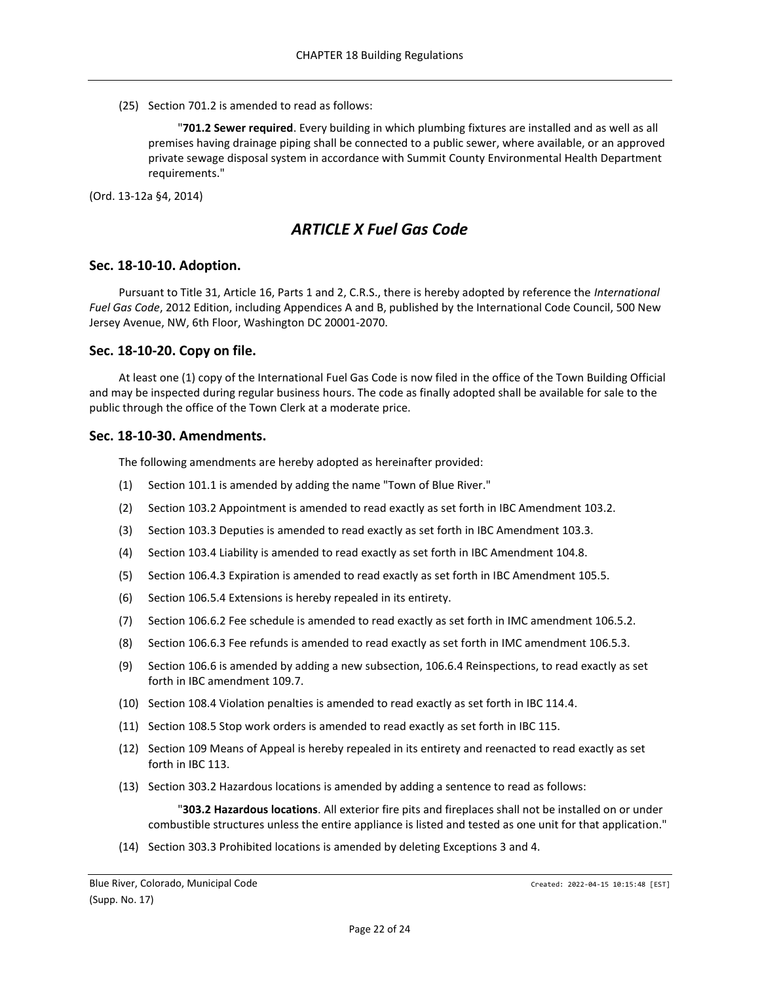(25) Section 701.2 is amended to read as follows:

"**701.2 Sewer required**. Every building in which plumbing fixtures are installed and as well as all premises having drainage piping shall be connected to a public sewer, where available, or an approved private sewage disposal system in accordance with Summit County Environmental Health Department requirements."

<span id="page-21-0"></span>(Ord. 13-12a §4, 2014)

## *ARTICLE X Fuel Gas Code*

### <span id="page-21-1"></span>**Sec. 18-10-10. Adoption.**

Pursuant to Title 31, Article 16, Parts 1 and 2, C.R.S., there is hereby adopted by reference the *International Fuel Gas Code*, 2012 Edition, including Appendices A and B, published by the International Code Council, 500 New Jersey Avenue, NW, 6th Floor, Washington DC 20001-2070.

### <span id="page-21-2"></span>**Sec. 18-10-20. Copy on file.**

At least one (1) copy of the International Fuel Gas Code is now filed in the office of the Town Building Official and may be inspected during regular business hours. The code as finally adopted shall be available for sale to the public through the office of the Town Clerk at a moderate price.

#### <span id="page-21-3"></span>**Sec. 18-10-30. Amendments.**

The following amendments are hereby adopted as hereinafter provided:

- (1) Section 101.1 is amended by adding the name "Town of Blue River."
- (2) Section 103.2 Appointment is amended to read exactly as set forth in IBC Amendment 103.2.
- (3) Section 103.3 Deputies is amended to read exactly as set forth in IBC Amendment 103.3.
- (4) Section 103.4 Liability is amended to read exactly as set forth in IBC Amendment 104.8.
- (5) Section 106.4.3 Expiration is amended to read exactly as set forth in IBC Amendment 105.5.
- (6) Section 106.5.4 Extensions is hereby repealed in its entirety.
- (7) Section 106.6.2 Fee schedule is amended to read exactly as set forth in IMC amendment 106.5.2.
- (8) Section 106.6.3 Fee refunds is amended to read exactly as set forth in IMC amendment 106.5.3.
- (9) Section 106.6 is amended by adding a new subsection, 106.6.4 Reinspections, to read exactly as set forth in IBC amendment 109.7.
- (10) Section 108.4 Violation penalties is amended to read exactly as set forth in IBC 114.4.
- (11) Section 108.5 Stop work orders is amended to read exactly as set forth in IBC 115.
- (12) Section 109 Means of Appeal is hereby repealed in its entirety and reenacted to read exactly as set forth in IBC 113.
- (13) Section 303.2 Hazardous locations is amended by adding a sentence to read as follows:

"**303.2 Hazardous locations**. All exterior fire pits and fireplaces shall not be installed on or under combustible structures unless the entire appliance is listed and tested as one unit for that application."

(14) Section 303.3 Prohibited locations is amended by deleting Exceptions 3 and 4.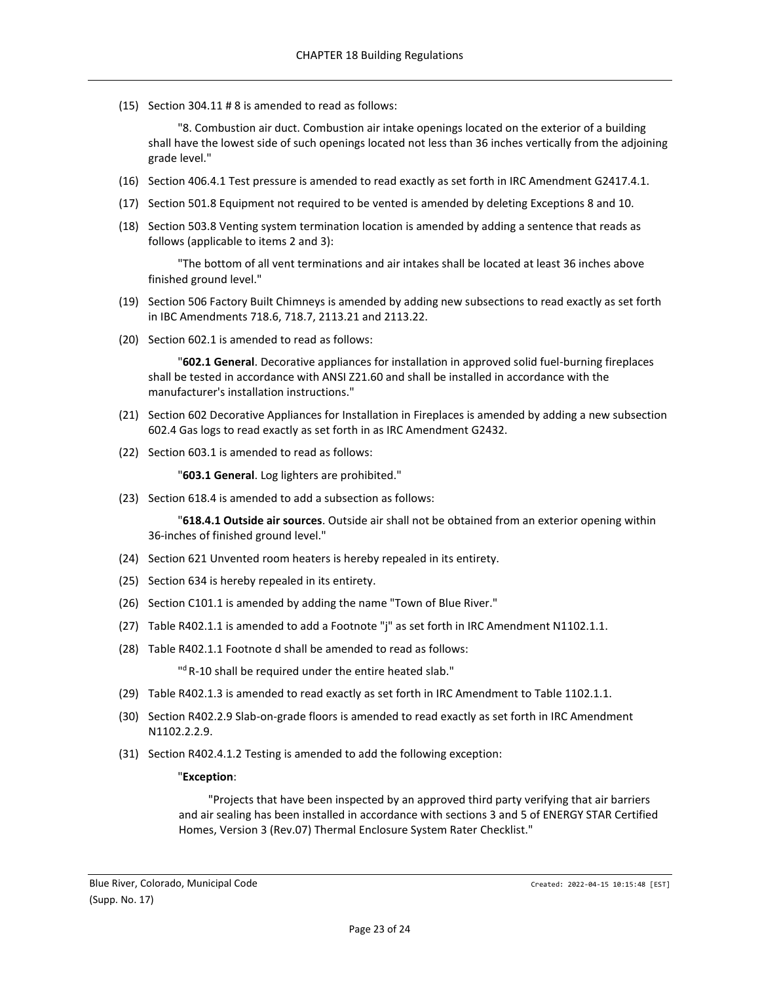(15) Section 304.11 # 8 is amended to read as follows:

"8. Combustion air duct. Combustion air intake openings located on the exterior of a building shall have the lowest side of such openings located not less than 36 inches vertically from the adjoining grade level."

- (16) Section 406.4.1 Test pressure is amended to read exactly as set forth in IRC Amendment G2417.4.1.
- (17) Section 501.8 Equipment not required to be vented is amended by deleting Exceptions 8 and 10.
- (18) Section 503.8 Venting system termination location is amended by adding a sentence that reads as follows (applicable to items 2 and 3):

"The bottom of all vent terminations and air intakes shall be located at least 36 inches above finished ground level."

- (19) Section 506 Factory Built Chimneys is amended by adding new subsections to read exactly as set forth in IBC Amendments 718.6, 718.7, 2113.21 and 2113.22.
- (20) Section 602.1 is amended to read as follows:

"**602.1 General**. Decorative appliances for installation in approved solid fuel-burning fireplaces shall be tested in accordance with ANSI Z21.60 and shall be installed in accordance with the manufacturer's installation instructions."

- (21) Section 602 Decorative Appliances for Installation in Fireplaces is amended by adding a new subsection 602.4 Gas logs to read exactly as set forth in as IRC Amendment G2432.
- (22) Section 603.1 is amended to read as follows:

"**603.1 General**. Log lighters are prohibited."

(23) Section 618.4 is amended to add a subsection as follows:

"**618.4.1 Outside air sources**. Outside air shall not be obtained from an exterior opening within 36-inches of finished ground level."

- (24) Section 621 Unvented room heaters is hereby repealed in its entirety.
- (25) Section 634 is hereby repealed in its entirety.
- (26) Section C101.1 is amended by adding the name "Town of Blue River."
- (27) Table R402.1.1 is amended to add a Footnote "j" as set forth in IRC Amendment N1102.1.1.
- (28) Table R402.1.1 Footnote d shall be amended to read as follows:

"<sup>d</sup> R-10 shall be required under the entire heated slab."

- (29) Table R402.1.3 is amended to read exactly as set forth in IRC Amendment to Table 1102.1.1.
- (30) Section R402.2.9 Slab-on-grade floors is amended to read exactly as set forth in IRC Amendment N1102.2.2.9.
- (31) Section R402.4.1.2 Testing is amended to add the following exception:

#### "**Exception**:

"Projects that have been inspected by an approved third party verifying that air barriers and air sealing has been installed in accordance with sections 3 and 5 of ENERGY STAR Certified Homes, Version 3 (Rev.07) Thermal Enclosure System Rater Checklist."